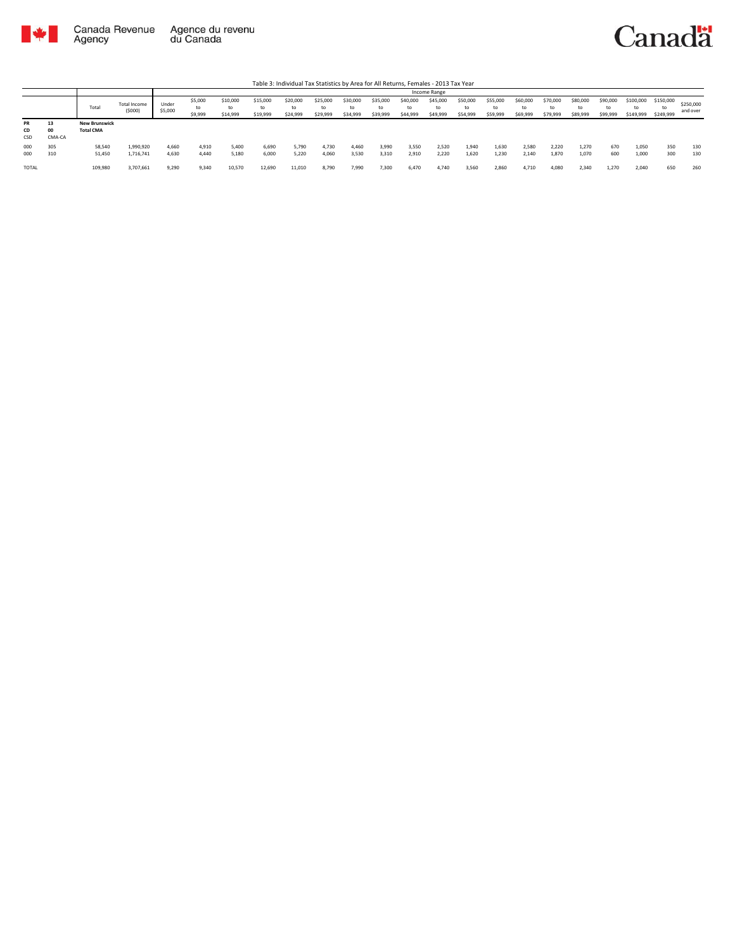

|                 |                    |                                          |                               |                  |                          |                            |                            |                            |                            |                            |                            |                            | Income Range               |                            |                            |                            |                            |                            |                      |                        |                              |                       |
|-----------------|--------------------|------------------------------------------|-------------------------------|------------------|--------------------------|----------------------------|----------------------------|----------------------------|----------------------------|----------------------------|----------------------------|----------------------------|----------------------------|----------------------------|----------------------------|----------------------------|----------------------------|----------------------------|----------------------|------------------------|------------------------------|-----------------------|
|                 |                    | Total                                    | <b>Total Income</b><br>(5000) | Under<br>\$5,000 | \$5,000<br>to<br>\$9,999 | \$10,000<br>to<br>\$14,999 | \$15,000<br>to<br>\$19,999 | \$20,000<br>to<br>\$24,999 | \$25,000<br>to<br>\$29,999 | \$30,000<br>to<br>\$34,999 | \$35,000<br>to<br>\$39,999 | \$40,000<br>to<br>\$44,999 | \$45,000<br>to<br>\$49,999 | \$50,000<br>to<br>\$54,999 | \$55,000<br>to<br>\$59,999 | \$60,000<br>to<br>\$69,999 | \$70,000<br>to<br>\$79,999 | \$80,000<br>to<br>\$89,999 | \$90,000<br>\$99,999 | \$100,000<br>\$149,999 | \$150,000<br>to<br>\$249,999 | \$250,000<br>and over |
| PR<br>CD<br>CSD | 13<br>00<br>CMA-CA | <b>New Brunswick</b><br><b>Total CMA</b> |                               |                  |                          |                            |                            |                            |                            |                            |                            |                            |                            |                            |                            |                            |                            |                            |                      |                        |                              |                       |
| 000<br>000      | 305<br>310         | 58,540<br>51,450                         | 1,990,920<br>1,716,741        | 4,660<br>4,630   | 4,910<br>4,440           | 5,400<br>5.180             | 6,690<br>6.000             | 5,790<br>5,220             | 4.730<br>4,060             | 4,460<br>3,530             | 3,990<br>3.310             | 3,550<br>2.910             | 2,520<br>2,220             | 1.940<br>1.620             | 1,630<br>1,230             | 2,580<br>2.140             | 2.220<br>1,870             | 1.270<br>1,070             | 670<br>600           | 1.050<br>1,000         | 350<br>300                   | 130<br>130            |
| <b>TOTAL</b>    |                    | 109,980                                  | 3,707,661                     | 9,290            | 9,340                    | 10,570                     | 12,690                     | 11,010                     | 8,790                      | 7,990                      | 7,300                      | 6.470                      | 4,740                      | 3,560                      | 2,860                      | 4,710                      | 4,080                      | 2,340                      | 1,270                | 2.040                  | 650                          | 260                   |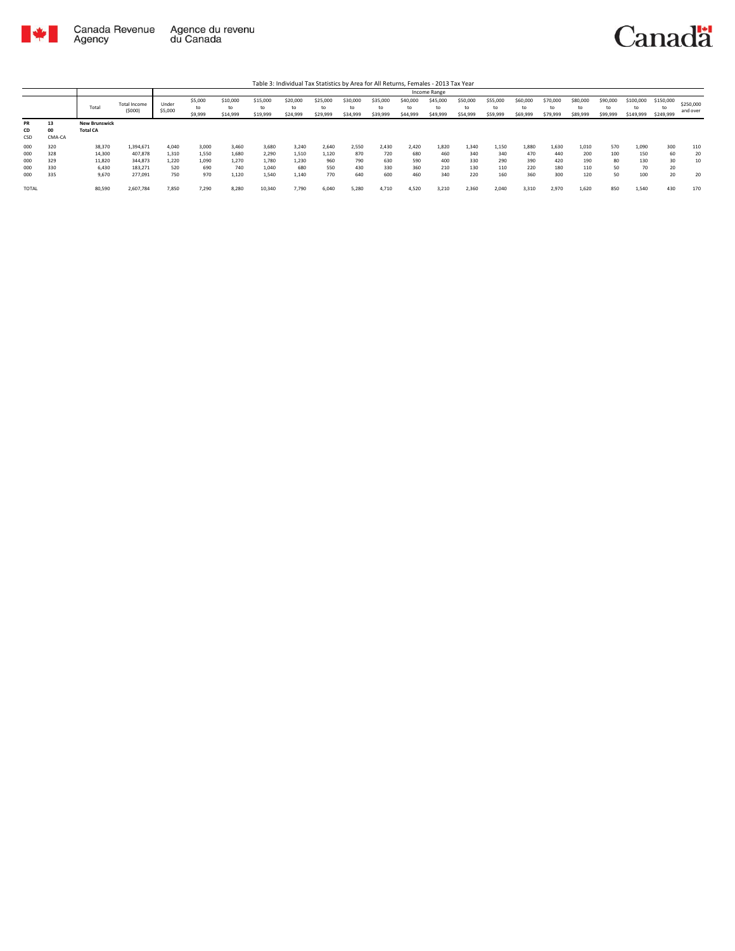

|              |        |                      |                               |                  |                          |                            |                            |                            |                      |                      |                            |                            | Income Range               |                            |                            |                            |                            |                            |                            |                        |                              |                       |
|--------------|--------|----------------------|-------------------------------|------------------|--------------------------|----------------------------|----------------------------|----------------------------|----------------------|----------------------|----------------------------|----------------------------|----------------------------|----------------------------|----------------------------|----------------------------|----------------------------|----------------------------|----------------------------|------------------------|------------------------------|-----------------------|
|              |        | Total                | <b>Total Income</b><br>(5000) | Under<br>\$5,000 | \$5,000<br>to<br>\$9,999 | \$10,000<br>to<br>\$14,999 | \$15,000<br>to<br>\$19,999 | \$20,000<br>to<br>\$24,999 | \$25,000<br>\$29,999 | \$30,000<br>\$34,999 | \$35,000<br>to<br>\$39,999 | \$40,000<br>to<br>\$44,999 | \$45,000<br>to<br>\$49,999 | \$50,000<br>to<br>\$54,999 | \$55,000<br>to<br>\$59,999 | \$60,000<br>to<br>\$69,999 | \$70,000<br>to<br>\$79,999 | \$80,000<br>tο<br>\$89,999 | \$90,000<br>to<br>\$99,999 | \$100,000<br>\$149,999 | \$150,000<br>to<br>\$249,999 | \$250,000<br>and over |
| <b>PR</b>    | 13     | <b>New Brunswick</b> |                               |                  |                          |                            |                            |                            |                      |                      |                            |                            |                            |                            |                            |                            |                            |                            |                            |                        |                              |                       |
| CD           | 00     | <b>Total CA</b>      |                               |                  |                          |                            |                            |                            |                      |                      |                            |                            |                            |                            |                            |                            |                            |                            |                            |                        |                              |                       |
| CSD          | CMA-CA |                      |                               |                  |                          |                            |                            |                            |                      |                      |                            |                            |                            |                            |                            |                            |                            |                            |                            |                        |                              |                       |
| 000          | 320    | 38,370               | 1,394,671                     | 4.040            | 3,000                    | 3,460                      | 3,680                      | 3,240                      | 2,640                | 2,550                | 2,430                      | 2,420                      | 1,820                      | 1,340                      | 1,150                      | 1.880                      | 1,630                      | 1,010                      | 570                        | 1,090                  | 300                          | 110                   |
| 000          | 328    | 14,300               | 407.878                       | 1,310            | 1,550                    | 1,680                      | 2.290                      | 1,510                      | 1.120                | 870                  | 720                        | 680                        | 460                        | 340                        | 340                        | 470                        | 440                        | 200                        | 100                        | 150                    | 60                           | 20                    |
| 000          | 329    | 11,820               | 344,873                       | 1.220            | 1,090                    | 1.270                      | 1.780                      | 1,230                      | 960                  | 790                  | 630                        | 590                        | 400                        | 330                        | 290                        | 390                        | 420                        | 190                        | 80                         | 130                    | 30                           | 10                    |
| 000          | 330    | 6,430                | 183,271                       | 520              | 690                      | 740                        | 1.040                      | 680                        | 550                  | 430                  | 330                        | 360                        | 210                        | 130                        | 110                        | 220                        | 180                        | 110                        | 50                         | 70                     | 20                           |                       |
| 000          | 335    | 9,670                | 277,091                       | 750              | 970                      | 1,120                      | 1,540                      | 1,140                      | 770                  | 640                  | 600                        | 460                        | 340                        | 220                        | 160                        | 360                        | 300                        | 120                        | 50                         | 100                    | 20                           | 20                    |
| <b>TOTAL</b> |        | 80,590               | 2,607,784                     | 7,850            | 7,290                    | 8.280                      | 10,340                     | 7,790                      | 6.040                | 5,280                | 4.710                      | 4.520                      | 3,210                      | 2.360                      | 2.040                      | 3.310                      | 2,970                      | 1.620                      | 850                        | 1.540                  | 430                          | 170                   |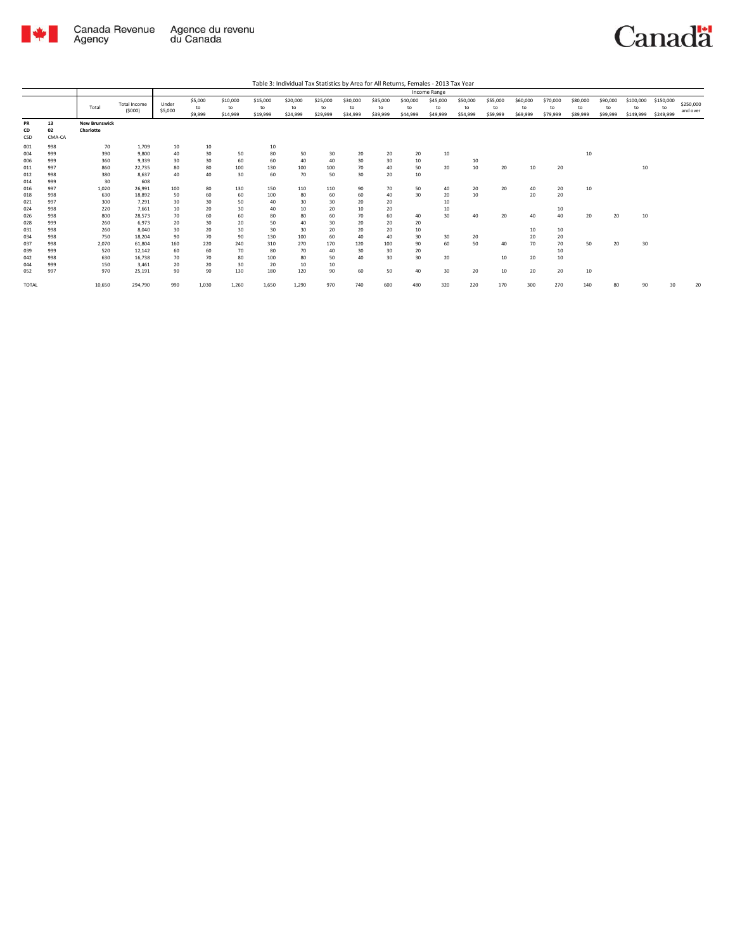

|                                                                                                              |                                                                                                              |                                                                                                                |                                                                                                                                                   |                                                                                          |                                                                                         |                                                                                     |                                                                                             |                                                                                      |                                                                                     |                                                                                   |                                                                                   |                                                                      | Income Range                                       |                                        |                            |                                        |                                                    |                            |                            |                              |                              |                       |
|--------------------------------------------------------------------------------------------------------------|--------------------------------------------------------------------------------------------------------------|----------------------------------------------------------------------------------------------------------------|---------------------------------------------------------------------------------------------------------------------------------------------------|------------------------------------------------------------------------------------------|-----------------------------------------------------------------------------------------|-------------------------------------------------------------------------------------|---------------------------------------------------------------------------------------------|--------------------------------------------------------------------------------------|-------------------------------------------------------------------------------------|-----------------------------------------------------------------------------------|-----------------------------------------------------------------------------------|----------------------------------------------------------------------|----------------------------------------------------|----------------------------------------|----------------------------|----------------------------------------|----------------------------------------------------|----------------------------|----------------------------|------------------------------|------------------------------|-----------------------|
|                                                                                                              |                                                                                                              | Total                                                                                                          | <b>Total Income</b><br>(5000)                                                                                                                     | Under<br>\$5,000                                                                         | \$5,000<br>to<br>\$9,999                                                                | \$10,000<br>to<br>\$14,999                                                          | \$15,000<br>to<br>\$19,999                                                                  | \$20,000<br>to<br>\$24,999                                                           | \$25,000<br>to<br>\$29,999                                                          | \$30,000<br>to<br>\$34,999                                                        | \$35,000<br>to<br>\$39,999                                                        | \$40,000<br>to<br>\$44,999                                           | \$45,000<br>to<br>\$49,999                         | \$50,000<br>to<br>\$54,999             | \$55,000<br>to<br>\$59,999 | \$60,000<br>to<br>\$69,999             | \$70,000<br>to<br>\$79,999                         | \$80,000<br>to<br>\$89,999 | \$90,000<br>to<br>\$99,999 | \$100,000<br>to<br>\$149,999 | \$150,000<br>to<br>\$249,999 | \$250,000<br>and over |
| PR<br>CD<br>CSD                                                                                              | 13<br>02<br>CMA-CA                                                                                           | <b>New Brunswick</b><br>Charlotte                                                                              |                                                                                                                                                   |                                                                                          |                                                                                         |                                                                                     |                                                                                             |                                                                                      |                                                                                     |                                                                                   |                                                                                   |                                                                      |                                                    |                                        |                            |                                        |                                                    |                            |                            |                              |                              |                       |
| 001<br>004<br>006<br>011<br>012<br>014<br>016<br>018<br>021<br>024<br>026<br>028<br>031<br>034<br>037<br>039 | 998<br>999<br>999<br>997<br>998<br>999<br>997<br>998<br>997<br>998<br>998<br>999<br>998<br>998<br>998<br>999 | 70<br>390<br>360<br>860<br>380<br>30<br>1,020<br>630<br>300<br>220<br>800<br>260<br>260<br>750<br>2,070<br>520 | 1,709<br>9,800<br>9,339<br>22.735<br>8.637<br>608<br>26,991<br>18,892<br>7,291<br>7.661<br>28,573<br>6.973<br>8.040<br>18.204<br>61.804<br>12,142 | 10<br>40<br>30<br>80<br>40<br>100<br>50<br>30<br>10<br>70<br>20<br>30<br>90<br>160<br>60 | 10<br>30<br>30<br>80<br>40<br>80<br>60<br>30<br>20<br>60<br>30<br>20<br>70<br>220<br>60 | 50<br>60<br>100<br>30<br>130<br>60<br>50<br>30<br>60<br>20<br>30<br>90<br>240<br>70 | 10<br>80<br>60<br>130<br>60<br>150<br>100<br>40<br>40<br>80<br>50<br>30<br>130<br>310<br>80 | 50<br>40<br>100<br>70<br>110<br>80<br>30<br>10<br>80<br>40<br>30<br>100<br>270<br>70 | 30<br>40<br>100<br>50<br>110<br>60<br>30<br>20<br>60<br>30<br>20<br>60<br>170<br>40 | 20<br>30<br>70<br>30<br>90<br>60<br>20<br>10<br>70<br>20<br>20<br>40<br>120<br>30 | 20<br>30<br>40<br>20<br>70<br>40<br>20<br>20<br>60<br>20<br>20<br>40<br>100<br>30 | 20<br>10<br>50<br>10<br>50<br>30<br>40<br>20<br>10<br>30<br>90<br>20 | 10<br>20<br>40<br>20<br>10<br>10<br>30<br>30<br>60 | 10<br>10<br>20<br>10<br>40<br>20<br>50 | 20<br>20<br>20<br>40       | 10<br>40<br>20<br>40<br>10<br>20<br>70 | 20<br>20<br>20<br>10<br>40<br>10<br>20<br>70<br>10 | 10<br>10<br>20<br>50       | 20<br>20                   | 10<br>10<br>30               |                              |                       |
| 042<br>044<br>052<br><b>TOTAL</b>                                                                            | 998<br>999<br>997                                                                                            | 630<br>150<br>970<br>10,650                                                                                    | 16,738<br>3.461<br>25,191<br>294,790                                                                                                              | 70<br>20<br>90<br>990                                                                    | 70<br>20<br>90<br>1,030                                                                 | 80<br>30<br>130<br>1,260                                                            | 100<br>20<br>180<br>1,650                                                                   | 80<br>10<br>120<br>1,290                                                             | 50<br>10<br>90<br>970                                                               | 40<br>60<br>740                                                                   | 30<br>50<br>600                                                                   | 30<br>40<br>480                                                      | 20<br>30<br>320                                    | 20<br>220                              | 10<br>10<br>170            | 20<br>20<br>300                        | 10<br>20<br>270                                    | 10<br>140                  | 80                         | 90                           | 30                           | 20                    |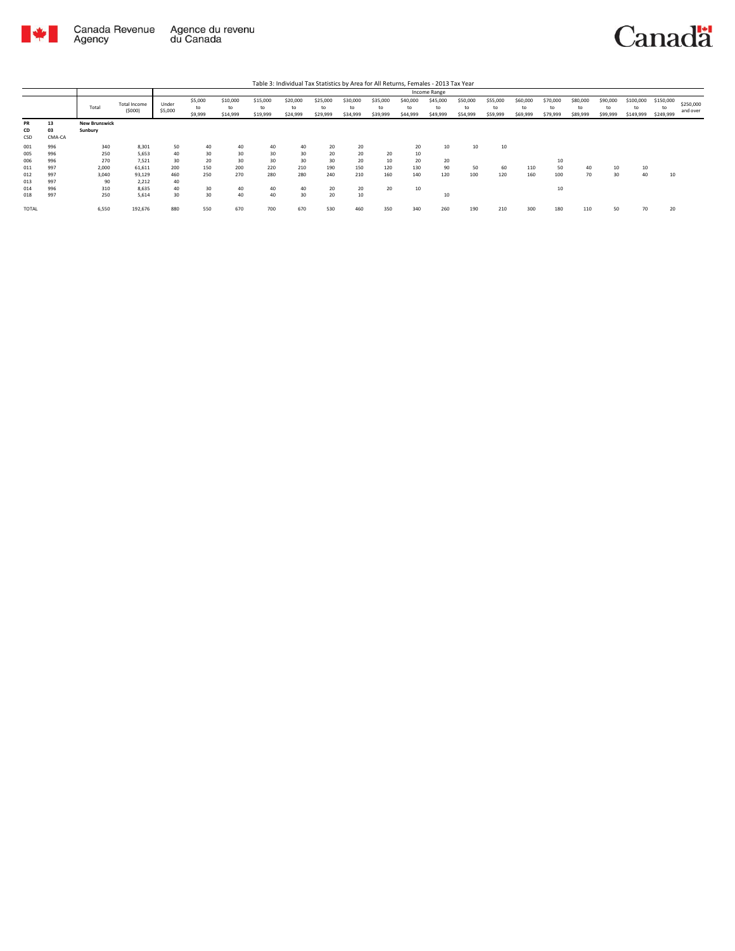

Agency

Total Total Income (\$000) Under \$5,000 \$5,000 to \$9,999 \$10,000 to \$14,999 \$15,000 to \$19,999 \$20,000 to \$24,999 \$25,000 to \$29,999 \$30,000 to \$34,999 \$35,000 to \$39,999 \$40,000 to \$44,999 \$45,000 to \$49,999 \$50,000 to \$54,999 \$55,000 to \$59,999 \$60,000 to \$69,999 \$70,000 to \$79,999 \$80,000 to \$89,999 \$90,000 to \$99,999 \$100,000 to \$149,999 \$150,000 to \$249,999 \$250,000 and over Table 3: Individual Tax Statistics by Area for All Returns, Females - 2013 Tax Year Income Range **PR 13 New Brunswick**<br> **CD 03 Sunbury**<br> **CSD** CMA-CA<br> **001** 996 **250**<br> **006** 996 **250**<br> **270** 2,000<br> **011** 997 **2,000**<br> **012** 997 3,040<br> **014** 997 **300**<br> **014** 997 **250 CD 03 Sunbury** CSD CMA-CA 001 996 340 8,301 50 40 40 40 40 20 20 20 10 10 10 005 996 250 5,653 40 30 30 30 30 20 20 20 10 006 996 270 7,521 30 20 30 30 30 30 20 10 20 20 10 011 997 2,000 61,611 200 150 200 220 210 190 150 120 130 90 50 60 110 50 40 10 10 012 997 3,040 93,129 460 250 270 280 280 240 210 160 140 120 100 120 160 100 70 30 40 10 996 96 340 8,301 50<br>
996 250 5,653 40<br>
997 2,000 61,611 200<br>
997 3,040 91,712 40<br>
997 3,040 91,712 40<br>
997 350 5,614 30 014 996 310 8,635 40 30 40 40 40 20 20 20 10 10 018 997 250 5,614 30 30 40 40 30 20 10 10 TOTAL 6,550 192,676 880 550 670 700 670 530 460 350 340 260 190 210 300 180 110 50 70 20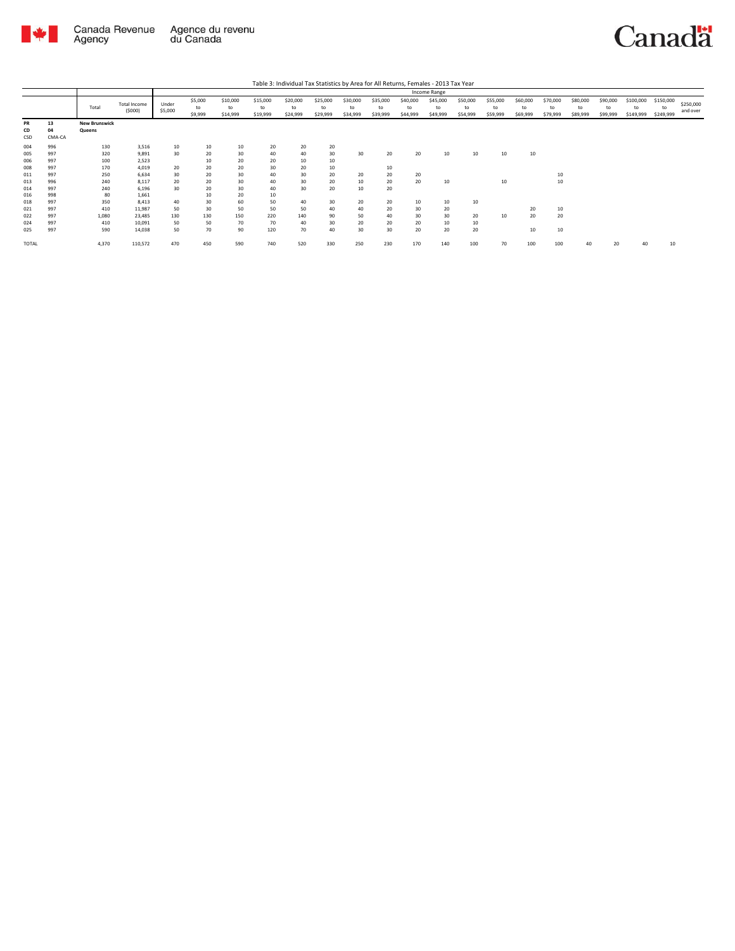

Canada Revenue Agence du revenu<br>Agency du Canada

Canadä

|                                        |                                        |                                         |                                                        |                             |                                   |                                   |                                    |                             |                            |                            |                            |                            | Income Range               |                            |                            |                            |                            |                            |                            |                              |                              |                       |
|----------------------------------------|----------------------------------------|-----------------------------------------|--------------------------------------------------------|-----------------------------|-----------------------------------|-----------------------------------|------------------------------------|-----------------------------|----------------------------|----------------------------|----------------------------|----------------------------|----------------------------|----------------------------|----------------------------|----------------------------|----------------------------|----------------------------|----------------------------|------------------------------|------------------------------|-----------------------|
|                                        |                                        | Total                                   | <b>Total Income</b><br>(5000)                          | Under<br>\$5,000            | \$5,000<br>to<br>\$9,999          | \$10,000<br>to<br>\$14,999        | \$15,000<br>to<br>\$19,999         | \$20,000<br>to<br>\$24,999  | \$25,000<br>to<br>\$29,999 | \$30,000<br>to<br>\$34,999 | \$35,000<br>to<br>\$39,999 | \$40,000<br>to<br>\$44,999 | \$45,000<br>to<br>\$49,999 | \$50,000<br>to<br>\$54,999 | \$55,000<br>to<br>\$59,999 | \$60,000<br>to<br>\$69,999 | \$70,000<br>to<br>\$79,999 | \$80,000<br>to<br>\$89,999 | \$90,000<br>to<br>\$99,999 | \$100,000<br>to<br>\$149,999 | \$150,000<br>to<br>\$249,999 | \$250,000<br>and over |
| PR<br>CD<br>CSD                        | 13<br>04<br>CMA-CA                     | <b>New Brunswick</b><br>Queens          |                                                        |                             |                                   |                                   |                                    |                             |                            |                            |                            |                            |                            |                            |                            |                            |                            |                            |                            |                              |                              |                       |
| 004<br>005<br>006<br>008               | 996<br>997<br>997<br>997               | 130<br>320<br>100<br>170                | 3,516<br>9,891<br>2,523<br>4,019                       | 10<br>30<br>20              | 10<br>20<br>10<br>20              | 10<br>30<br>20<br>20              | 20<br>40<br>20<br>30               | 20<br>40<br>10<br>20        | 20<br>30<br>10<br>10       | 30                         | 20<br>10                   | 20                         | 10                         | 10                         | 10                         | 10                         |                            |                            |                            |                              |                              |                       |
| 011<br>013<br>014                      | 997<br>996<br>997                      | 250<br>240<br>240                       | 6,634<br>8,117<br>6,196                                | 30<br>20<br>30              | 20<br>20<br>20                    | 30<br>30<br>30                    | 40<br>40<br>40                     | 30<br>30<br>30              | 20<br>20<br>20             | 20<br>10<br>10             | 20<br>20<br>20             | 20<br>20                   | 10                         |                            | 10                         |                            | 10<br>10                   |                            |                            |                              |                              |                       |
| 016<br>018<br>021<br>022<br>024<br>025 | 998<br>997<br>997<br>997<br>997<br>997 | 80<br>350<br>410<br>1,080<br>410<br>590 | 1,661<br>8,413<br>11,987<br>23,485<br>10,091<br>14,038 | 40<br>50<br>130<br>50<br>50 | 10<br>30<br>30<br>130<br>50<br>70 | 20<br>60<br>50<br>150<br>70<br>90 | 10<br>50<br>50<br>220<br>70<br>120 | 40<br>50<br>140<br>40<br>70 | 30<br>40<br>90<br>30<br>40 | 20<br>40<br>50<br>20<br>30 | 20<br>20<br>40<br>20<br>30 | 10<br>30<br>30<br>20<br>20 | 10<br>20<br>30<br>10<br>20 | 10<br>20<br>10<br>20       | 10                         | 20<br>20<br>10             | 10<br>20<br>10             |                            |                            |                              |                              |                       |
| TOTAL                                  |                                        | 4,370                                   | 110,572                                                | 470                         | 450                               | 590                               | 740                                | 520                         | 330                        | 250                        | 230                        | 170                        | 140                        | 100                        | 70                         | 100                        | 100                        | 40                         |                            | 40                           | 10                           |                       |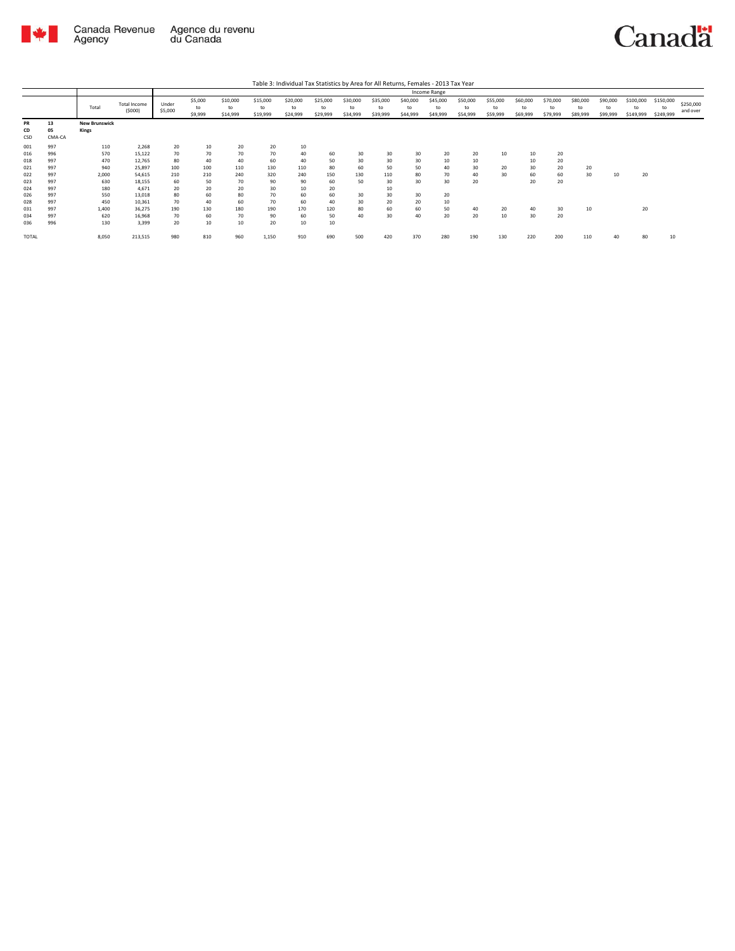

|                   |                    |                               |                               |                  |                          |                            |                            |                            |                            |                            |                            |                            | Income Range               |                            |                            |                            |                            |                            |                            |                              |                              |                       |
|-------------------|--------------------|-------------------------------|-------------------------------|------------------|--------------------------|----------------------------|----------------------------|----------------------------|----------------------------|----------------------------|----------------------------|----------------------------|----------------------------|----------------------------|----------------------------|----------------------------|----------------------------|----------------------------|----------------------------|------------------------------|------------------------------|-----------------------|
|                   |                    | Total                         | <b>Total Income</b><br>(5000) | Under<br>\$5,000 | \$5,000<br>to<br>\$9,999 | \$10,000<br>to<br>\$14,999 | \$15,000<br>to<br>\$19,999 | \$20,000<br>to<br>\$24,999 | \$25,000<br>to<br>\$29,999 | \$30,000<br>to<br>\$34,999 | \$35,000<br>to<br>\$39,999 | \$40,000<br>to<br>\$44,999 | \$45,000<br>to<br>\$49,999 | \$50,000<br>to<br>\$54,999 | \$55,000<br>to<br>\$59,999 | \$60,000<br>to<br>\$69,999 | \$70,000<br>to<br>\$79,999 | \$80,000<br>to<br>\$89,999 | \$90,000<br>to<br>\$99,999 | \$100,000<br>to<br>\$149,999 | \$150,000<br>to<br>\$249,999 | \$250,000<br>and over |
| PR<br>CD<br>CSD   | 13<br>05<br>CMA-CA | <b>New Brunswick</b><br>Kings |                               |                  |                          |                            |                            |                            |                            |                            |                            |                            |                            |                            |                            |                            |                            |                            |                            |                              |                              |                       |
| 001<br>016        | 997<br>996         | 110<br>570                    | 2,268<br>15,122               | 20<br>70         | 10<br>70                 | 20<br>70                   | 20<br>70                   | 10<br>40                   | 60                         | 30                         | 30                         | 30                         | 20                         | 20                         | 10                         | 10                         | 20                         |                            |                            |                              |                              |                       |
| 018<br>021        | 997<br>997         | 470<br>940                    | 12,765<br>25,897              | 80<br>100        | 40<br>100                | 40<br>110                  | 60<br>130                  | 40<br>110                  | 50<br>80                   | 30<br>60                   | 30<br>50                   | 30<br>50                   | 10<br>40                   | 10<br>30                   | 20                         | 10<br>30                   | 20<br>20                   | 20                         |                            |                              |                              |                       |
| 022<br>023<br>024 | 997<br>997<br>997  | 2,000<br>630<br>180           | 54,615<br>18,155<br>4,671     | 210<br>60<br>20  | 210<br>50<br>20          | 240<br>70<br>20            | 320<br>90<br>30            | 240<br>90<br>10            | 150<br>60<br>20            | 130<br>50                  | 110<br>30<br>10            | 80<br>30                   | 70<br>30                   | 40<br>20                   | 30                         | 60<br>20                   | 60<br>20                   | 30                         | 10                         | 20                           |                              |                       |
| 026<br>028        | 997<br>997         | 550<br>450                    | 13,018<br>10,361              | 80<br>70         | 60<br>40                 | 80<br>60                   | 70<br>70                   | 60<br>60                   | 60<br>40                   | 30<br>30                   | 30<br>20                   | 30<br>20                   | 20<br>10                   |                            |                            |                            |                            |                            |                            |                              |                              |                       |
| 031<br>034<br>036 | 997<br>997<br>996  | 1,400<br>620<br>130           | 36,275<br>16,968<br>3,399     | 190<br>70<br>20  | 130<br>60<br>10          | 180<br>70<br>10            | 190<br>90<br>20            | 170<br>60<br>10            | 120<br>50<br>10            | 80<br>40                   | 60<br>30                   | 60<br>40                   | 50<br>20                   | 40<br>20                   | 20<br>10                   | 40<br>30                   | 30<br>20                   | 10                         |                            | 20                           |                              |                       |
| <b>TOTAL</b>      |                    | 8,050                         | 213,515                       | 980              | 810                      | 960                        | 1,150                      | 910                        | 690                        | 500                        | 420                        | 370                        | 280                        | 190                        | 130                        | 220                        | 200                        | 110                        | 40                         | 80                           | 10                           |                       |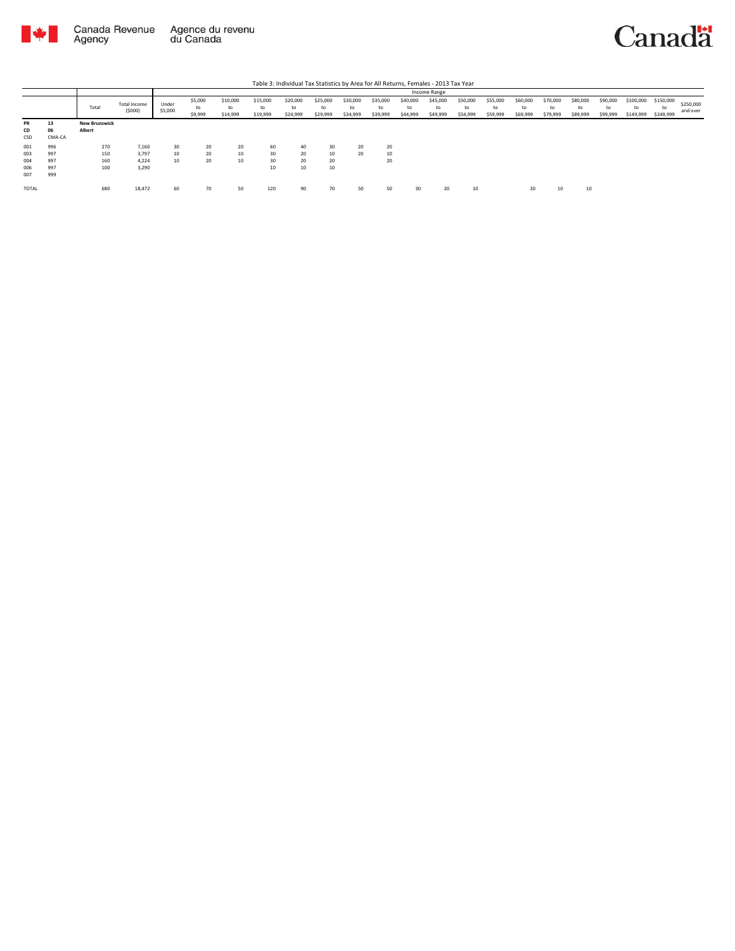

|           |        |                      |                        |                  |                          |                            |                            |                            |                            |                            |                            |                            | Income Range               |                            |                            |                            |                            |                            |                            |                              |                              |                       |
|-----------|--------|----------------------|------------------------|------------------|--------------------------|----------------------------|----------------------------|----------------------------|----------------------------|----------------------------|----------------------------|----------------------------|----------------------------|----------------------------|----------------------------|----------------------------|----------------------------|----------------------------|----------------------------|------------------------------|------------------------------|-----------------------|
|           |        | Total                | Total Income<br>(5000) | Under<br>\$5,000 | \$5,000<br>to<br>\$9,999 | \$10,000<br>to<br>\$14,999 | \$15,000<br>to<br>\$19,999 | \$20,000<br>to<br>\$24,999 | \$25,000<br>to<br>\$29,999 | \$30,000<br>to<br>\$34,999 | \$35,000<br>to<br>\$39,999 | \$40,000<br>to<br>\$44,999 | \$45,000<br>to<br>\$49,999 | \$50,000<br>to<br>\$54,999 | \$55,000<br>to<br>\$59,999 | \$60,000<br>to<br>\$69,999 | \$70,000<br>to<br>\$79,999 | \$80,000<br>to<br>\$89,999 | \$90,000<br>to<br>\$99,999 | \$100,000<br>to<br>\$149,999 | \$150,000<br>to<br>\$249,999 | \$250,000<br>and over |
| <b>PR</b> | 13     | <b>New Brunswick</b> |                        |                  |                          |                            |                            |                            |                            |                            |                            |                            |                            |                            |                            |                            |                            |                            |                            |                              |                              |                       |
| CD        | 06     | Albert               |                        |                  |                          |                            |                            |                            |                            |                            |                            |                            |                            |                            |                            |                            |                            |                            |                            |                              |                              |                       |
| CSD       | CMA-CA |                      |                        |                  |                          |                            |                            |                            |                            |                            |                            |                            |                            |                            |                            |                            |                            |                            |                            |                              |                              |                       |
| 001       | 996    | 270                  | 7,160                  | 30               | 20                       | 20                         | 60                         | 40                         | 30                         | 20                         | 20                         |                            |                            |                            |                            |                            |                            |                            |                            |                              |                              |                       |
| 003       | 997    | 150                  | 3,797                  | 10               | 20                       | 10                         | 30                         | 20                         | 10                         | 20                         | 10                         |                            |                            |                            |                            |                            |                            |                            |                            |                              |                              |                       |
| 004       | 997    | 160                  | 4.224                  | 10               | 20                       | 10                         | 30                         | 20                         | 20                         |                            | 20                         |                            |                            |                            |                            |                            |                            |                            |                            |                              |                              |                       |
| 006       | 997    | 100                  | 3,290                  |                  |                          |                            | 10                         | 10                         | 10                         |                            |                            |                            |                            |                            |                            |                            |                            |                            |                            |                              |                              |                       |
| 007       | 999    |                      |                        |                  |                          |                            |                            |                            |                            |                            |                            |                            |                            |                            |                            |                            |                            |                            |                            |                              |                              |                       |
| TOTAL     |        | 680                  | 18,472                 | 60               | 70                       | 50                         | 120                        | 90                         | 70                         | 50                         | 50                         | 30                         | 20                         | 10                         |                            | 20                         | 10                         | 10                         |                            |                              |                              |                       |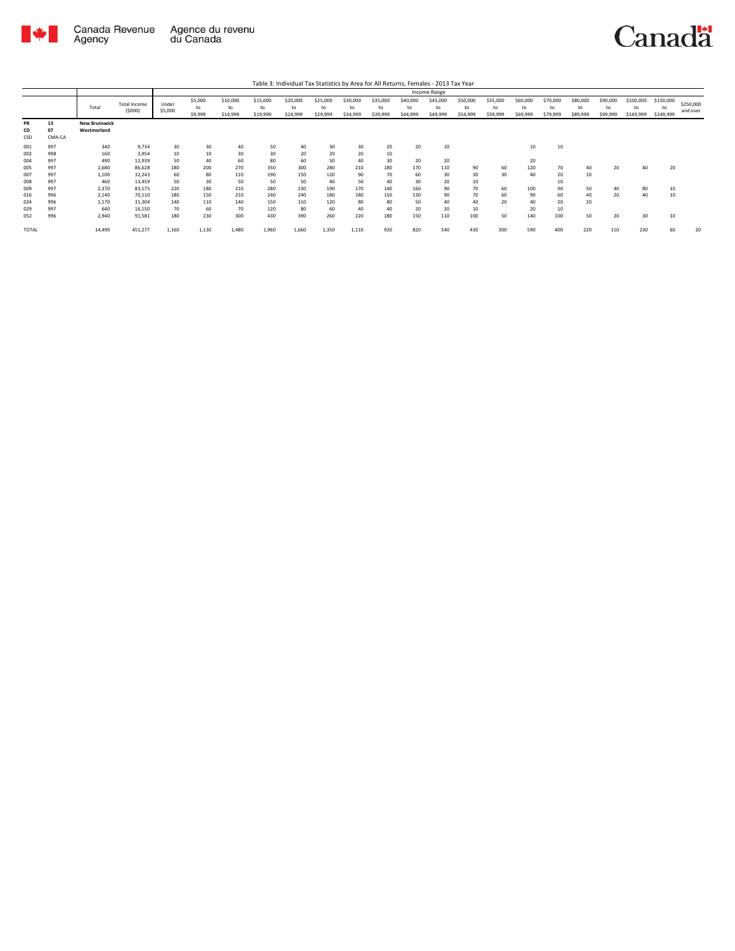

|                 |                    |                                     |                                |                  |                          |                            |                            |                            |                            |                            |                            |                            | Income Range               |                            |                            |                            |                            |                      |                            |                              |                              |                       |
|-----------------|--------------------|-------------------------------------|--------------------------------|------------------|--------------------------|----------------------------|----------------------------|----------------------------|----------------------------|----------------------------|----------------------------|----------------------------|----------------------------|----------------------------|----------------------------|----------------------------|----------------------------|----------------------|----------------------------|------------------------------|------------------------------|-----------------------|
|                 |                    | Total                               | <b>Total Income</b><br>(\$000) | Under<br>\$5,000 | \$5,000<br>to<br>\$9,999 | \$10,000<br>to<br>\$14,999 | \$15,000<br>to<br>\$19,999 | \$20,000<br>to<br>\$24,999 | \$25,000<br>to<br>\$29,999 | \$30,000<br>to<br>\$34,999 | \$35,000<br>to<br>\$39,999 | \$40,000<br>to<br>\$44,999 | \$45,000<br>to<br>\$49,999 | \$50,000<br>to<br>\$54,999 | \$55,000<br>to<br>\$59,999 | \$60,000<br>to<br>\$69,999 | \$70,000<br>to<br>\$79,999 | \$80,000<br>\$89,999 | \$90,000<br>to<br>\$99,999 | \$100,000<br>to<br>\$149,999 | \$150,000<br>to<br>\$249,999 | \$250,000<br>and over |
| PR<br>CD<br>CSD | 13<br>07<br>CMA-CA | <b>New Brunswick</b><br>Westmorland |                                |                  |                          |                            |                            |                            |                            |                            |                            |                            |                            |                            |                            |                            |                            |                      |                            |                              |                              |                       |
| 001             | 997                | 340                                 | 9.734                          | 30               | 30                       | 40                         | 50                         | 40                         | 30                         | 30                         | 20                         | 20                         | 10                         |                            |                            | 10                         | 10                         |                      |                            |                              |                              |                       |
| 002             | 998                | 160                                 | 3,954                          | 10               | 10                       | 30                         | 30                         | 20                         | 20                         | 20                         | 10                         |                            |                            |                            |                            |                            |                            |                      |                            |                              |                              |                       |
| 004             | 997                | 490                                 | 12,939                         | 50               | 40                       | 60                         | 80                         | 60                         | 50                         | 40                         | 30                         | 20                         | 20                         |                            |                            | 20                         |                            |                      |                            |                              |                              |                       |
| 005             | 997                | 2,680                               | 86,628                         | 180              | 200                      | 270                        | 350                        | 300                        | 280                        | 210                        | 180                        | 170                        | 110                        | 90                         | 60                         | 120                        | 70                         | 40                   | 20                         | 40                           | 20                           |                       |
| 007             | 997                | 1,100                               | 32,243                         | 60               | 80                       | 110                        | 190                        | 150                        | 120                        | 90                         | 70                         | 60                         | 30                         | 30                         | 30                         | 40                         | 20                         | 10                   |                            |                              |                              |                       |
| 008             | 997                | 460                                 | 13,459                         | 50               | 30                       | 50                         | 50                         | 50                         | 40                         | 50                         | 40                         | 30                         | 20                         | 10                         |                            |                            | 10                         |                      |                            |                              |                              |                       |
| 009             | 997                | 2,370                               | 83,175                         | 220              | 180                      | 210                        | 280                        | 230                        | 190                        | 170                        | 140                        | 160                        | 90                         | 70                         | 60                         | 100                        | 90                         | 50                   |                            | 80                           | 10                           |                       |
| 016             | 996                | 2,140                               | 70,110                         | 180              | 150                      | 210                        | 240                        | 240                        | 180                        | 180                        | 150                        | 130                        | 90                         | 70                         | 60                         | 90                         | 60                         | 40                   | 20                         | 40                           | 10                           |                       |
| 024             | 996                | 1,170                               | 31,304                         | 140              | 110                      | 140                        | 150                        | 110                        | 120                        | 80                         | 80                         | 50                         | 40                         | 40                         | 20                         | 40                         | 20                         | 20                   |                            |                              |                              |                       |
| 029             | 997                | 640                                 | 16,150                         | 70               | 60                       | 70                         | 120                        | 80                         | 60                         | 40                         | 40                         | 20                         | 20                         | 10                         |                            | 20                         | 10                         |                      |                            |                              |                              |                       |
| 052             | 996                | 2,940                               | 91,581                         | 180              | 230                      | 300                        | 430                        | 390                        | 260                        | 220                        | 180                        | 150                        | 110                        | 100                        | 50                         | 140                        | 100                        | 50                   | 20                         | 30                           | 10                           |                       |
| TOTAL           |                    | 14,490                              | 451,277                        | 1,160            | 1,130                    | 1,480                      | 1,960                      | 1,660                      | 1,350                      | 1,110                      | 920                        | 820                        | 540                        | 430                        | 300                        | 590                        | 400                        | 220                  | 110                        | 230                          | 60                           | 20                    |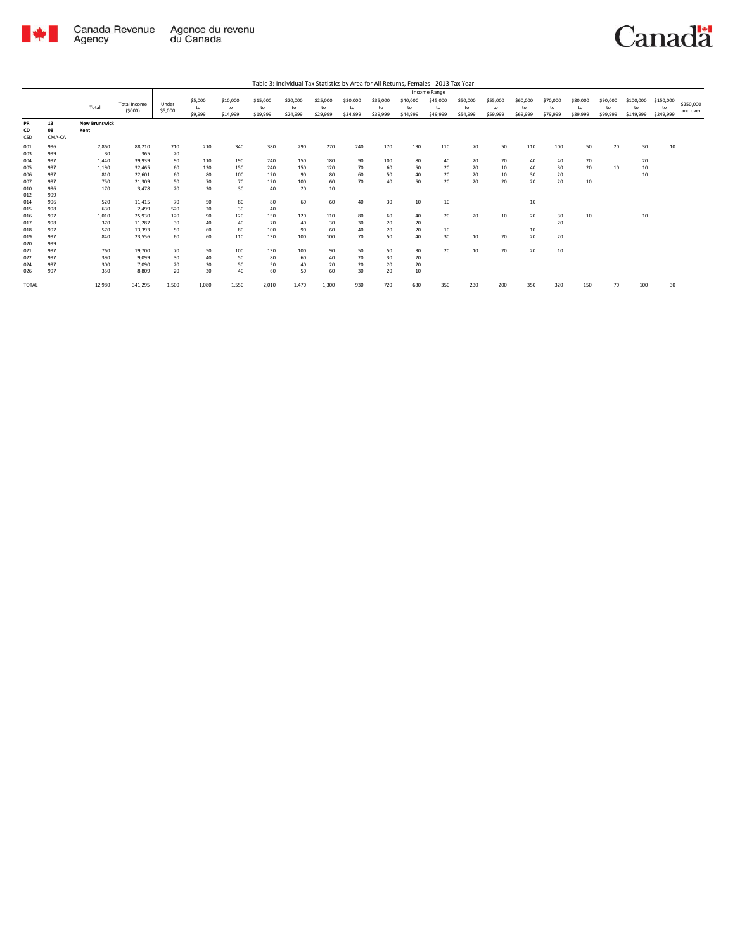

|                   |                    |                              |                          |                  |                          |                            |                            | Table 3: Individual Tax Statistics by Area for All Returns, Females - 2013 Tax Year |                            |                            |                            |                            |                            |                            |                            |                            |                            |                            |                            |                              |                              |                       |
|-------------------|--------------------|------------------------------|--------------------------|------------------|--------------------------|----------------------------|----------------------------|-------------------------------------------------------------------------------------|----------------------------|----------------------------|----------------------------|----------------------------|----------------------------|----------------------------|----------------------------|----------------------------|----------------------------|----------------------------|----------------------------|------------------------------|------------------------------|-----------------------|
|                   |                    |                              |                          |                  |                          |                            |                            |                                                                                     |                            |                            |                            |                            | Income Range               |                            |                            |                            |                            |                            |                            |                              |                              |                       |
|                   |                    | Total                        | Total Income<br>(5000)   | Under<br>\$5,000 | \$5,000<br>to<br>\$9,999 | \$10,000<br>to<br>\$14,999 | \$15,000<br>to<br>\$19,999 | \$20,000<br>to<br>\$24,999                                                          | \$25,000<br>to<br>\$29,999 | \$30,000<br>to<br>\$34,999 | \$35,000<br>to<br>\$39,999 | \$40,000<br>to<br>\$44,999 | \$45,000<br>to<br>\$49,999 | \$50,000<br>to<br>\$54,999 | \$55,000<br>to<br>\$59,999 | \$60,000<br>to<br>\$69,999 | \$70,000<br>to<br>\$79,999 | \$80,000<br>to<br>\$89,999 | \$90,000<br>to<br>\$99,999 | \$100,000<br>to<br>\$149,999 | \$150,000<br>to<br>\$249,999 | \$250,000<br>and over |
| PR<br>CD<br>CSD   | 13<br>08<br>CMA-CA | <b>New Brunswick</b><br>Kent |                          |                  |                          |                            |                            |                                                                                     |                            |                            |                            |                            |                            |                            |                            |                            |                            |                            |                            |                              |                              |                       |
| 001<br>003        | 996<br>999         | 2,860<br>30                  | 88,210<br>365            | 210<br>20        | 210                      | 340                        | 380                        | 290                                                                                 | 270                        | 240                        | 170                        | 190                        | 110                        | 70                         | 50                         | 110                        | 100                        | 50                         | 20                         | 30                           | 10                           |                       |
| 004<br>005        | 997<br>997         | 1,440<br>1,190               | 39,939<br>32.465         | 90<br>60         | 110<br>120               | 190<br>150                 | 240<br>240                 | 150<br>150                                                                          | 180<br>120                 | 90<br>70                   | 100<br>60                  | 80<br>50                   | 40<br>20                   | 20<br>20                   | 20<br>10                   | 40<br>40                   | 40<br>30                   | 20<br>20                   | 10                         | 20<br>10                     |                              |                       |
| 006<br>007        | 997<br>997         | 810<br>750                   | 22,601<br>21,309         | 60<br>50         | 80<br>70                 | 100<br>70                  | 120<br>120                 | 90<br>100                                                                           | 80<br>60                   | 60<br>70                   | 50<br>40                   | 40<br>50                   | 20<br>20                   | 20<br>20                   | 10<br>20                   | 30<br>20                   | 20<br>20                   | 10                         |                            | 10                           |                              |                       |
| 010<br>012        | 996<br>999         | 170                          | 3.478                    | 20               | 20                       | 30                         | 40                         | 20                                                                                  | 10                         |                            |                            |                            |                            |                            |                            |                            |                            |                            |                            |                              |                              |                       |
| 014<br>015        | 996<br>998         | 520<br>630                   | 11,415<br>2.499          | 70<br>520        | 50<br>20                 | 80<br>30                   | 80<br>40                   | 60                                                                                  | 60                         | 40                         | 30                         | 10                         | 10                         |                            |                            | 10                         |                            |                            |                            |                              |                              |                       |
| 016<br>017        | 997<br>998         | 1,010<br>370                 | 25.930<br>11,287         | 120<br>30        | 90<br>40                 | 120<br>40                  | 150<br>70                  | 120<br>40                                                                           | 110<br>30                  | 80<br>30                   | 60<br>20                   | 40<br>20                   | 20                         | 20                         | 10                         | 20                         | 30<br>20                   | 10                         |                            | 10                           |                              |                       |
| 018<br>019<br>020 | 997<br>997<br>999  | 570<br>840                   | 13,393<br>23,556         | 50<br>60         | 60<br>60                 | 80<br>110                  | 100<br>130                 | 90<br>100                                                                           | 60<br>100                  | 40<br>70                   | 20<br>50                   | 20<br>40                   | 10<br>30                   | 10                         | 20                         | 10<br>20                   | 20                         |                            |                            |                              |                              |                       |
| 021<br>022<br>024 | 997<br>997<br>997  | 760<br>390<br>300            | 19,700<br>9.099<br>7.090 | 70<br>30<br>20   | 50<br>40<br>30           | 100<br>50<br>50            | 130<br>80<br>50            | 100<br>60<br>40                                                                     | 90<br>40<br>20             | 50<br>20<br>20             | 50<br>30<br>20             | 30<br>20<br>20             | 20                         | 10                         | 20                         | 20                         | 10                         |                            |                            |                              |                              |                       |
| 026               | 997                | 350                          | 8,809                    | 20               | 30                       | 40                         | 60                         | 50                                                                                  | 60                         | 30                         | 20                         | 10                         |                            |                            |                            |                            |                            |                            |                            |                              |                              |                       |
| TOTAL             |                    | 12,980                       | 341,295                  | 1,500            | 1,080                    | 1,550                      | 2,010                      | 1,470                                                                               | 1,300                      | 930                        | 720                        | 630                        | 350                        | 230                        | 200                        | 350                        | 320                        | 150                        | 70                         | 100                          | 30                           |                       |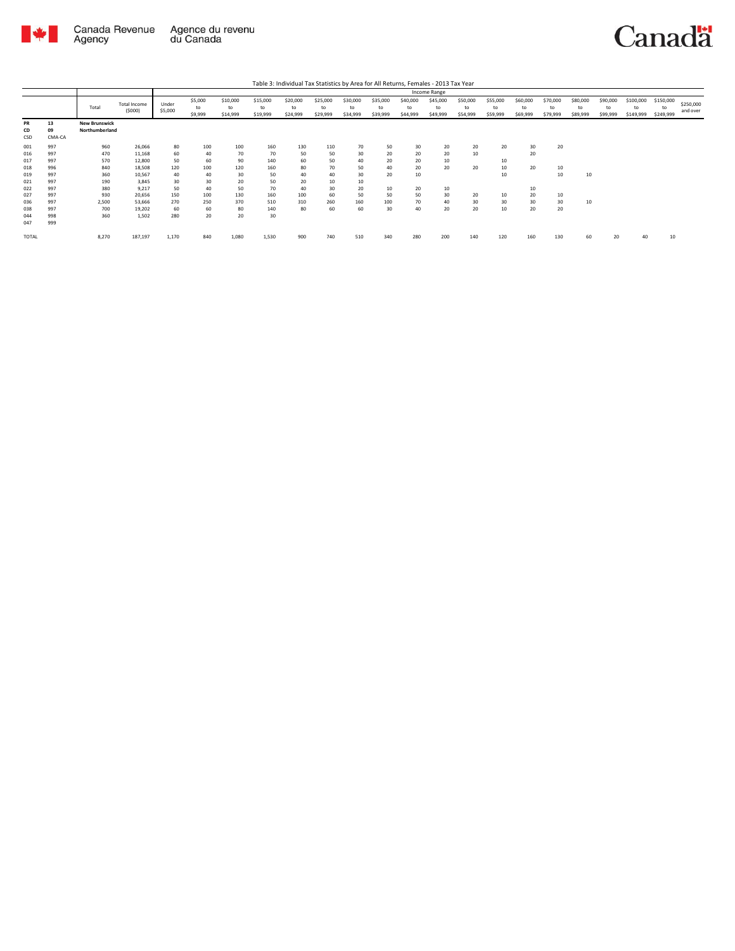

|                 |                    |                                        |                               |                  |                          |                            |                            | Table 3: Individual Tax Statistics by Area for All Returns, Females - 2013 Tax Year |                            |                            |                            |                            |                            |                            |                            |                            |                            |                            |                            |                              |                              |                       |
|-----------------|--------------------|----------------------------------------|-------------------------------|------------------|--------------------------|----------------------------|----------------------------|-------------------------------------------------------------------------------------|----------------------------|----------------------------|----------------------------|----------------------------|----------------------------|----------------------------|----------------------------|----------------------------|----------------------------|----------------------------|----------------------------|------------------------------|------------------------------|-----------------------|
|                 |                    |                                        |                               |                  |                          |                            |                            |                                                                                     |                            |                            |                            |                            | Income Range               |                            |                            |                            |                            |                            |                            |                              |                              |                       |
|                 |                    | Total                                  | <b>Total Income</b><br>(5000) | Under<br>\$5,000 | \$5,000<br>to<br>\$9,999 | \$10,000<br>to<br>\$14,999 | \$15,000<br>to<br>\$19,999 | \$20,000<br>to<br>\$24,999                                                          | \$25,000<br>to<br>\$29,999 | \$30,000<br>to<br>\$34,999 | \$35,000<br>to<br>\$39,999 | \$40,000<br>to<br>\$44,999 | \$45,000<br>to<br>\$49,999 | \$50,000<br>to<br>\$54,999 | \$55,000<br>to<br>\$59,999 | \$60,000<br>to<br>\$69,999 | \$70,000<br>to<br>\$79,999 | \$80,000<br>to<br>\$89,999 | \$90,000<br>to<br>\$99,999 | \$100,000<br>to<br>\$149,999 | \$150,000<br>to<br>\$249,999 | \$250,000<br>and over |
| PR<br>CD<br>CSD | 13<br>09<br>CMA-CA | <b>New Brunswick</b><br>Northumberland |                               |                  |                          |                            |                            |                                                                                     |                            |                            |                            |                            |                            |                            |                            |                            |                            |                            |                            |                              |                              |                       |
| 001             | 997                | 960                                    | 26,066                        | 80               | 100                      | 100                        | 160                        | 130                                                                                 | 110                        | 70                         | 50                         | 30                         | 20                         | 20                         | 20                         | 30                         | 20                         |                            |                            |                              |                              |                       |
| 016             | 997                | 470                                    | 11,168                        | 60               | 40                       | 70                         | 70                         | 50                                                                                  | 50                         | 30                         | 20                         | 20                         | 20                         | 10                         |                            | 20                         |                            |                            |                            |                              |                              |                       |
| 017             | 997                | 570                                    | 12,800                        | 50               | 60                       | 90                         | 140                        | 60                                                                                  | 50                         | 40                         | 20                         | 20                         | 10                         |                            | 10                         |                            |                            |                            |                            |                              |                              |                       |
| 018             | 996                | 840                                    | 18,508                        | 120              | 100                      | 120                        | 160                        | 80                                                                                  | 70                         | 50                         | 40                         | 20                         | 20                         | 20                         | 10                         | 20                         | 10                         |                            |                            |                              |                              |                       |
| 019             | 997                | 360                                    | 10,567                        | 40               | 40                       | 30                         | 50                         | 40                                                                                  | 40                         | 30                         | 20                         | 10                         |                            |                            | 10                         |                            | 10                         | 10                         |                            |                              |                              |                       |
| 021             | 997                | 190                                    | 3.845                         | 30               | 30                       | 20                         | 50                         | 20                                                                                  | 10                         | 10                         |                            |                            |                            |                            |                            |                            |                            |                            |                            |                              |                              |                       |
| 022             | 997                | 380                                    | 9.217                         | 50               | 40                       | 50                         | 70                         | 40                                                                                  | 30                         | 20                         | 10                         | 20                         | 10                         |                            |                            | 10                         |                            |                            |                            |                              |                              |                       |
| 027             | 997                | 930                                    | 20,656                        | 150              | 100                      | 130                        | 160                        | 100                                                                                 | 60                         | 50                         | 50                         | 50                         | 30                         | 20                         | 10                         | 20                         | 10                         |                            |                            |                              |                              |                       |
| 036             | 997                | 2,500                                  | 53,666                        | 270              | 250                      | 370                        | 510                        | 310                                                                                 | 260                        | 160                        | 100                        | 70                         | 40                         | 30                         | 30 <sup>°</sup>            | 30                         | 30                         | 10                         |                            |                              |                              |                       |
| 038             | 997                | 700                                    | 19,202                        | 60               | 60                       | 80                         | 140                        | 80                                                                                  | 60                         | 60                         | 30                         | 40                         | 20                         | 20                         | 10                         | 20                         | 20                         |                            |                            |                              |                              |                       |
| 044             | 998                | 360                                    | 1,502                         | 280              | 20                       | 20                         | 30                         |                                                                                     |                            |                            |                            |                            |                            |                            |                            |                            |                            |                            |                            |                              |                              |                       |
| 047             | 999                |                                        |                               |                  |                          |                            |                            |                                                                                     |                            |                            |                            |                            |                            |                            |                            |                            |                            |                            |                            |                              |                              |                       |
| <b>TOTAL</b>    |                    | 8.270                                  | 187,197                       | 1,170            | 840                      | 1.080                      | 1.530                      | 900                                                                                 | 740                        | 510                        | 340                        | 280                        | 200                        | 140                        | 120                        | 160                        | 130                        | 60                         | 20                         | 40                           | 10                           |                       |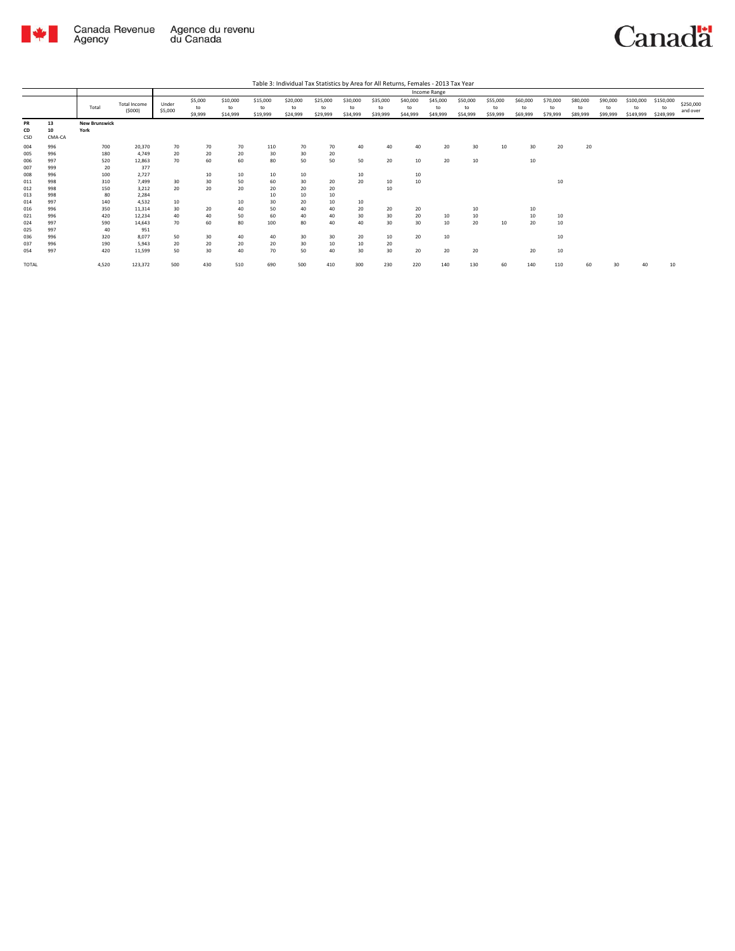

|                          |                          |                              |                                    |                  | Income Range             |                            |                            |                            |                            |                            |                             |                            |                            |                            |                            |                            |                            |                            |                            |                              |                              |                       |
|--------------------------|--------------------------|------------------------------|------------------------------------|------------------|--------------------------|----------------------------|----------------------------|----------------------------|----------------------------|----------------------------|-----------------------------|----------------------------|----------------------------|----------------------------|----------------------------|----------------------------|----------------------------|----------------------------|----------------------------|------------------------------|------------------------------|-----------------------|
|                          |                          | Total                        | Total Income<br>(5000)             | Under<br>\$5,000 | \$5,000<br>to<br>\$9,999 | \$10,000<br>to<br>\$14,999 | \$15,000<br>to<br>\$19,999 | \$20,000<br>to<br>\$24,999 | \$25,000<br>to<br>\$29,999 | \$30,000<br>to<br>\$34,999 | \$35,000<br>to<br>\$39,999  | \$40,000<br>to<br>\$44,999 | \$45,000<br>to<br>\$49,999 | \$50,000<br>to<br>\$54,999 | \$55,000<br>to<br>\$59,999 | \$60,000<br>to<br>\$69,999 | \$70,000<br>to<br>\$79,999 | \$80,000<br>to<br>\$89,999 | \$90,000<br>to<br>\$99,999 | \$100,000<br>to<br>\$149,999 | \$150,000<br>to<br>\$249,999 | \$250,000<br>and over |
| PR<br>CD<br>CSD          | 13<br>10<br>CMA-CA       | <b>New Brunswick</b><br>York |                                    |                  |                          |                            |                            |                            |                            |                            |                             |                            |                            |                            |                            |                            |                            |                            |                            |                              |                              |                       |
| 004<br>005<br>006<br>007 | 996<br>996<br>997<br>999 | 700<br>180<br>520<br>20      | 20,370<br>4.749<br>12,863<br>377   | 70<br>20<br>70   | 70<br>20<br>60           | 70<br>20<br>60             | 110<br>30<br>80            | 70<br>30<br>50             | 70<br>20<br>50             | 40<br>50                   | 40<br>20                    | 40<br>10                   | 20<br>20                   | 30<br>10                   | 10                         | 30<br>10                   | 20                         | 20                         |                            |                              |                              |                       |
| 008<br>011<br>012        | 996<br>998<br>998        | 100<br>310<br>150            | 2,727<br>7.499<br>3.212            | 30<br>20         | 10<br>30<br>20           | 10<br>50<br>20             | 10<br>60<br>20             | 10<br>30<br>20             | 20<br>20                   | 10<br>20                   | 10<br>10                    | 10<br>10                   |                            |                            |                            |                            | 10                         |                            |                            |                              |                              |                       |
| 013<br>014<br>016<br>021 | 998<br>997<br>996<br>996 | 80<br>140<br>350<br>420      | 2,284<br>4,532<br>11.314<br>12.234 | 10<br>30<br>40   | 20<br>40                 | 10<br>40<br>50             | 10<br>30<br>50<br>60       | 10<br>20<br>40<br>40       | 10<br>10<br>40<br>40       | 10<br>20<br>30             | 20<br>30                    | 20<br>20                   | 10                         | 10<br>10                   |                            | 10<br>10                   | 10                         |                            |                            |                              |                              |                       |
| 024<br>025<br>036<br>037 | 997<br>997<br>996<br>996 | 590<br>40<br>320<br>190      | 14.643<br>951<br>8.077<br>5.943    | 70<br>50<br>20   | 60<br>30<br>20           | 80<br>40<br>20             | 100<br>40<br>20            | 80<br>30<br>30             | 40<br>30<br>10             | 40<br>20<br>10             | 30 <sub>o</sub><br>10<br>20 | 30<br>20                   | 10<br>10                   | 20                         | 10                         | 20                         | 10<br>10                   |                            |                            |                              |                              |                       |
| 054<br><b>TOTAL</b>      | 997                      | 420<br>4,520                 | 11,599<br>123,372                  | 50<br>500        | 30<br>430                | 40<br>510                  | 70<br>690                  | 50<br>500                  | 40<br>410                  | 30<br>300                  | 30 <sub>o</sub><br>230      | 20<br>220                  | 20<br>140                  | 20<br>130                  | 60                         | 20<br>140                  | 10<br>110                  | 60                         | 30                         | 40                           | 10                           |                       |
|                          |                          |                              |                                    |                  |                          |                            |                            |                            |                            |                            |                             |                            |                            |                            |                            |                            |                            |                            |                            |                              |                              |                       |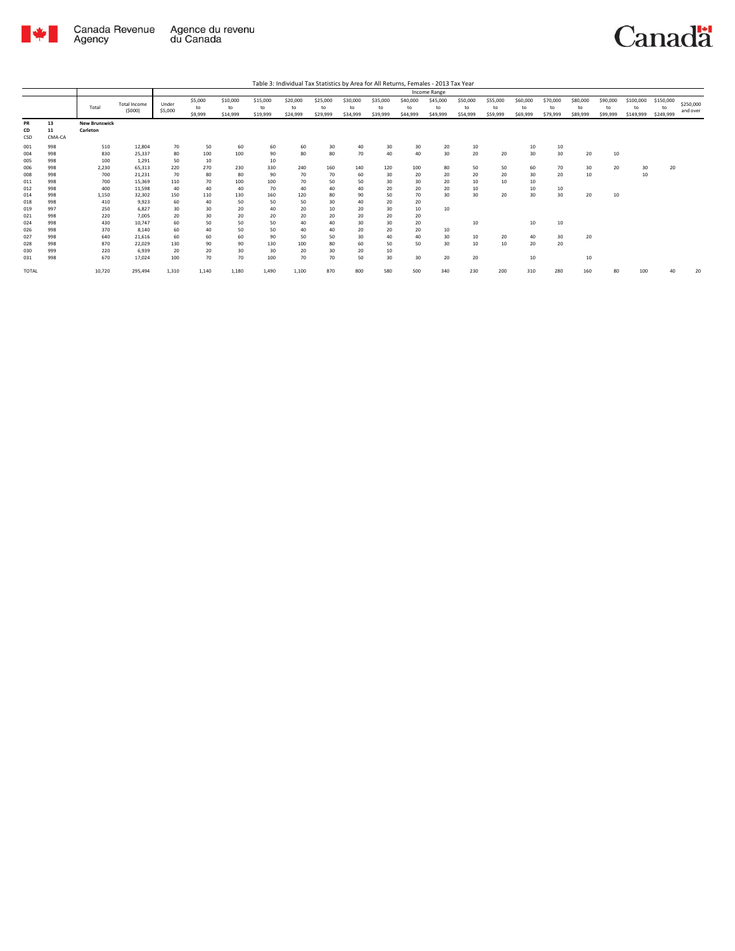

|                        |                    |                                  |                               |                  |                          |                            |                            |                            |                            |                            |                            |                            | Income Range               |                            |                            |                            |                            |                            |                            |                              |                              |                       |
|------------------------|--------------------|----------------------------------|-------------------------------|------------------|--------------------------|----------------------------|----------------------------|----------------------------|----------------------------|----------------------------|----------------------------|----------------------------|----------------------------|----------------------------|----------------------------|----------------------------|----------------------------|----------------------------|----------------------------|------------------------------|------------------------------|-----------------------|
|                        |                    | Total                            | <b>Total Income</b><br>(5000) | Under<br>\$5,000 | \$5,000<br>to<br>\$9,999 | \$10,000<br>to<br>\$14,999 | \$15,000<br>to<br>\$19,999 | \$20,000<br>to<br>\$24,999 | \$25,000<br>to<br>\$29,999 | \$30,000<br>to<br>\$34,999 | \$35,000<br>to<br>\$39,999 | \$40,000<br>to<br>\$44,999 | \$45,000<br>to<br>\$49,999 | \$50,000<br>to<br>\$54,999 | \$55,000<br>to<br>\$59,999 | \$60,000<br>to<br>\$69,999 | \$70,000<br>to<br>\$79,999 | \$80,000<br>to<br>\$89,999 | \$90,000<br>to<br>\$99,999 | \$100,000<br>to<br>\$149,999 | \$150,000<br>to<br>\$249,999 | \$250,000<br>and over |
| <b>PR</b><br>CD<br>CSD | 13<br>11<br>CMA-CA | <b>New Brunswick</b><br>Carleton |                               |                  |                          |                            |                            |                            |                            |                            |                            |                            |                            |                            |                            |                            |                            |                            |                            |                              |                              |                       |
| 001<br>004<br>005      | 998<br>998<br>998  | 510<br>830<br>100                | 12,804<br>25.337<br>1,291     | 70<br>80<br>50   | 50<br>100<br>10          | 60<br>100                  | 60<br>90<br>10             | 60<br>80                   | 30<br>80                   | 40<br>70                   | 30<br>40                   | 30<br>40                   | 20<br>30                   | 10<br>20                   | 20                         | 10<br>30                   | 10<br>30                   | 20                         | 10                         |                              |                              |                       |
| 006<br>008<br>011      | 998<br>998<br>998  | 2,230<br>700<br>700              | 65.313<br>21,231<br>15.369    | 220<br>70<br>110 | 270<br>80<br>70          | 230<br>80<br>100           | 330<br>90<br>100           | 240<br>70<br>70            | 160<br>70<br>50            | 140<br>60<br>50            | 120<br>30<br>30            | 100<br>20<br>30            | 80<br>20<br>20             | 50<br>20<br>10             | 50<br>20<br>10             | 60<br>30<br>10             | 70<br>20                   | 30<br>10                   | 20                         | 30<br>10                     | 20                           |                       |
| 012<br>014<br>018      | 998<br>998<br>998  | 400<br>1.150<br>410              | 11,598<br>32.302<br>9.923     | 40<br>150<br>60  | 40<br>110<br>40          | 40<br>130<br>50            | 70<br>160<br>50            | 40<br>120<br>50            | 40<br>80<br>30             | 40<br>90<br>40             | 20<br>50<br>20             | 20<br>70<br>20             | 20<br>30                   | 10<br>30                   | 20                         | 10<br>30                   | 10<br>30                   | 20                         | 10                         |                              |                              |                       |
| 019<br>021<br>024      | 997<br>998<br>998  | 250<br>220<br>430                | 6,827<br>7.005<br>10.747      | 30<br>20<br>60   | 30<br>30<br>50           | 20<br>20<br>50             | 40<br>20<br>50             | 20<br>20<br>40             | 10<br>20<br>40             | 20<br>20<br>30             | 30<br>20<br>30             | 10<br>20<br>20             | 10                         | 10                         |                            | 10                         | 10                         |                            |                            |                              |                              |                       |
| 026<br>027<br>028      | 998<br>998<br>998  | 370<br>640<br>870                | 8.140<br>21,616<br>22,029     | 60<br>60<br>130  | 40<br>60<br>90           | 50<br>60<br>90             | 50<br>90<br>130            | 40<br>50<br>100            | 40<br>50<br>80             | 20<br>30<br>60             | 20<br>40<br>50             | 20<br>40<br>50             | 10<br>30<br>30             | 10<br>10                   | 20<br>10                   | 40<br>20                   | 30<br>20                   | 20                         |                            |                              |                              |                       |
| 030<br>031             | 999<br>998         | 220<br>670                       | 6,939<br>17.024               | 20<br>100        | 20<br>70                 | 30<br>70                   | 30<br>100                  | 20<br>70                   | 30<br>70                   | 20<br>50                   | 10<br>30                   | 30                         | 20                         | 20                         |                            | 10                         |                            | 10                         |                            |                              |                              |                       |
| <b>TOTAL</b>           |                    | 10,720                           | 295,494                       | 1,310            | 1,140                    | 1,180                      | 1,490                      | 1,100                      | 870                        | 800                        | 580                        | 500                        | 340                        | 230                        | 200                        | 310                        | 280                        | 160                        | 80                         | 100                          |                              | 2(                    |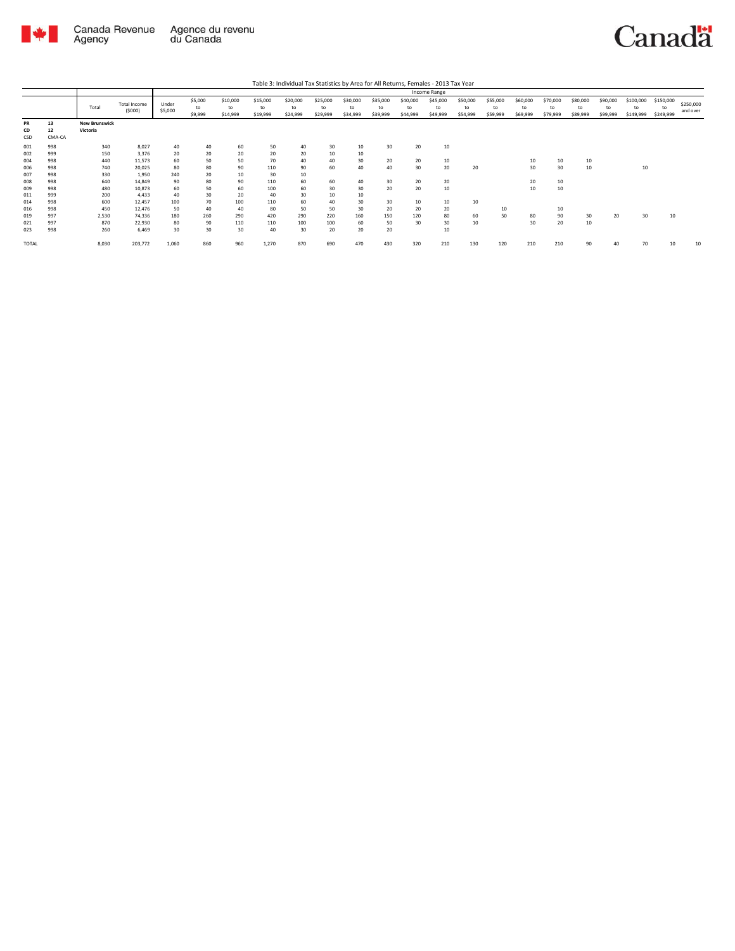

Agency

Agence du revenu<br>du Canada Canada Revenue

Canadä

Total Total Income (\$000) Under \$5,000 \$5,000 to \$9,999 \$10,000 to \$14,999 \$15,000 to \$19,999 \$20,000 to \$24,999 \$25,000 to \$29,999 \$30,000 to \$34,999 \$35,000 to \$39,999 \$40,000 to \$44,999 \$45,000 to \$49,999 \$50,000 to \$54,999 \$55,000 to \$59,999 \$60,000 to \$69,999 \$70,000 to \$79,999 \$80,000 to \$89,999 \$90,000 to \$99,999 \$100,000 to \$149,999 \$150,000 to \$249,999 \$250,000 and over Table 3: Individual Tax Statistics by Area for All Returns, Females - 2013 Tax Year Income Range **PR 13 New Brunswick CD 12 Victoria** CSD CMA-CA 001 998 340 8,027 40 40 60 50 40 30 10 30 20 10 002 999 150 3,376 20 20 20 20 20 10 10 004 998 440 11,573 60 50 50 70 40 40 30 20 20 10 10 10 10 006 998 740 20,025 80 80 90 110 90 60 40 40 30 20 20 30 30 10 10 007 998 330 1,950 240 20 10 30 10 008 998 640 14,849 90 80 90 110 60 60 40 30 20 20 20 10 009 998 480 10,873 60 50 60 100 60 30 30 20 20 10 10 10 011 999 200 4,433 40 30 20 40 30 10 10 014 998 600 12,457 100 70 100 110 60 40 30 30 10 10 10 016 998 450 12,476 50 40 40 80 50 50 30 20 20 20 10 10 019 997 2,530 74,336 180 260 290 420 290 220 160 150 120 80 60 50 80 90 30 20 30 10 021 997 870 22,930 80 90 110 110 100 100 60 50 30 30 10 30 20 10 023 998 260 6,469 30 30 30 40 30 20 20 20 10 TOTAL 8,030 203,772 1,060 860 960 1,270 870 690 470 430 320 210 130 120 210 210 90 40 70 10 10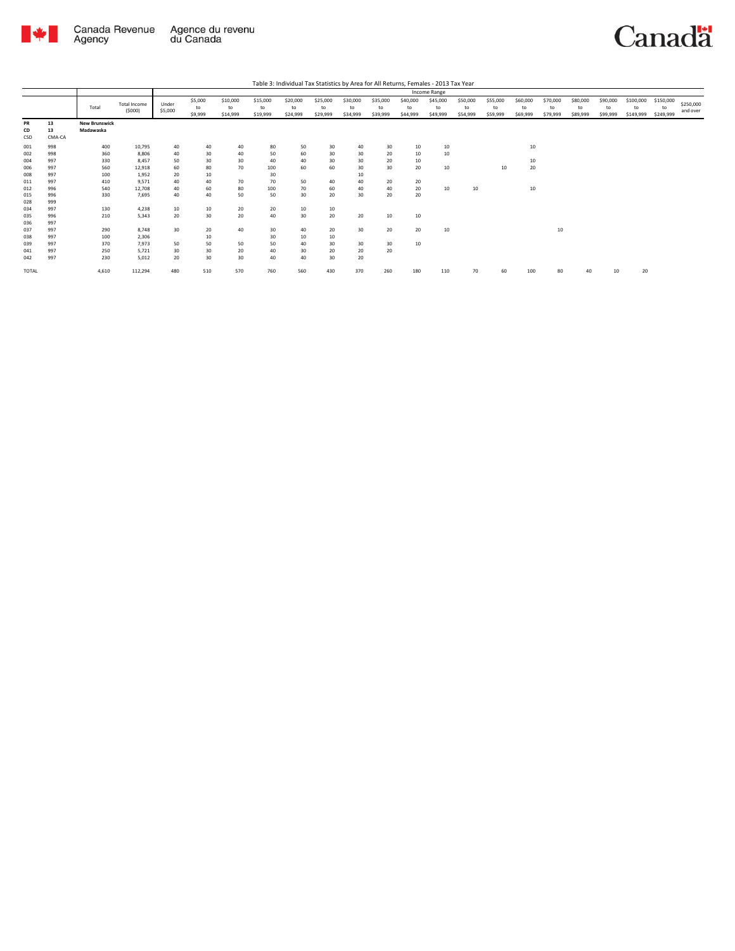

|                 |                    |                                   |                               |                  |                          |                            |                            |                            |                            |                            |                            |                            | Income Range               |                            |                            |                            |                            |                            |                            |                              |                              |                       |
|-----------------|--------------------|-----------------------------------|-------------------------------|------------------|--------------------------|----------------------------|----------------------------|----------------------------|----------------------------|----------------------------|----------------------------|----------------------------|----------------------------|----------------------------|----------------------------|----------------------------|----------------------------|----------------------------|----------------------------|------------------------------|------------------------------|-----------------------|
|                 |                    | Total                             | <b>Total Income</b><br>(5000) | Under<br>\$5,000 | \$5,000<br>to<br>\$9,999 | \$10,000<br>to<br>\$14,999 | \$15,000<br>to<br>\$19,999 | \$20,000<br>to<br>\$24,999 | \$25,000<br>to<br>\$29,999 | \$30,000<br>to<br>\$34,999 | \$35,000<br>to<br>\$39,999 | \$40,000<br>to<br>\$44,999 | \$45,000<br>to<br>\$49,999 | \$50,000<br>to<br>\$54,999 | \$55,000<br>to<br>\$59,999 | \$60,000<br>to<br>\$69,999 | \$70,000<br>to<br>\$79,999 | \$80,000<br>to<br>\$89,999 | \$90,000<br>to<br>\$99,999 | \$100,000<br>to<br>\$149,999 | \$150,000<br>to<br>\$249,999 | \$250,000<br>and over |
| PR<br>CD<br>CSD | 13<br>13<br>CMA-CA | <b>New Brunswick</b><br>Madawaska |                               |                  |                          |                            |                            |                            |                            |                            |                            |                            |                            |                            |                            |                            |                            |                            |                            |                              |                              |                       |
| 001             | 998                | 400                               | 10,795                        | 40               | 40                       | 40                         | 80                         | 50                         | 30                         | 40                         | 30                         | 10                         | 10                         |                            |                            | 10                         |                            |                            |                            |                              |                              |                       |
| 002             | 998                | 360                               | 8,806                         | 40               | 30                       | 40                         | 50                         | 60                         | 30                         | 30                         | 20                         | 10                         | 10                         |                            |                            |                            |                            |                            |                            |                              |                              |                       |
| 004             | 997                | 330                               | 8,457                         | 50               | 30                       | 30                         | 40                         | 40                         | 30                         | 30                         | 20                         | 10                         |                            |                            |                            | 10                         |                            |                            |                            |                              |                              |                       |
| 006             | 997                | 560                               | 12,918                        | 60               | 80                       | 70                         | 100                        | 60                         | 60                         | 30                         | 30 <sub>o</sub>            | 20                         | 10                         |                            | 10                         | 20                         |                            |                            |                            |                              |                              |                       |
| 008             | 997                | 100                               | 1,952                         | 20               | 10                       |                            | 30                         |                            |                            | 10                         |                            |                            |                            |                            |                            |                            |                            |                            |                            |                              |                              |                       |
| 011             | 997                | 410                               | 9,571                         | 40               | 40                       | 70                         | 70                         | 50                         | 40                         | 40                         | 20                         | 20                         |                            |                            |                            |                            |                            |                            |                            |                              |                              |                       |
| 012             | 996                | 540                               | 12,708                        | 40               | 60                       | 80                         | 100                        | 70                         | 60                         | 40                         | 40                         | 20                         | 10                         | 10                         |                            | 10                         |                            |                            |                            |                              |                              |                       |
| 015<br>028      | 996<br>999         | 330                               | 7,695                         | 40               | 40                       | 50                         | 50                         | 30                         | 20                         | 30                         | 20                         | 20                         |                            |                            |                            |                            |                            |                            |                            |                              |                              |                       |
|                 |                    |                                   |                               |                  |                          |                            |                            |                            |                            |                            |                            |                            |                            |                            |                            |                            |                            |                            |                            |                              |                              |                       |
| 034<br>035      | 997<br>996         | 130<br>210                        | 4,238<br>5,343                | 10<br>20         | 10<br>30                 | 20<br>20                   | 20<br>40                   | 10<br>30                   | 10<br>20                   | 20                         | 10                         | 10                         |                            |                            |                            |                            |                            |                            |                            |                              |                              |                       |
| 036             | 997                |                                   |                               |                  |                          |                            |                            |                            |                            |                            |                            |                            |                            |                            |                            |                            |                            |                            |                            |                              |                              |                       |
| 037             | 997                | 290                               | 8.748                         | 30               | 20                       | 40                         | 30                         | 40                         | 20                         | 30                         | 20                         | 20                         | 10                         |                            |                            |                            | 10                         |                            |                            |                              |                              |                       |
| 038             | 997                | 100                               | 2,306                         |                  | 10                       |                            | 30                         | 10                         | 10                         |                            |                            |                            |                            |                            |                            |                            |                            |                            |                            |                              |                              |                       |
| 039             | 997                | 370                               | 7,973                         | 50               | 50                       | 50                         | 50                         | 40                         | 30                         | 30                         | 30 <sup>°</sup>            | 10                         |                            |                            |                            |                            |                            |                            |                            |                              |                              |                       |
| 041             | 997                | 250                               | 5.721                         | 30               | 30                       | 20                         | 40                         | 30                         | 20                         | 20                         | 20                         |                            |                            |                            |                            |                            |                            |                            |                            |                              |                              |                       |
| 042             | 997                | 230                               | 5,012                         | 20               | 30                       | 30                         | 40                         | 40                         | 30                         | 20                         |                            |                            |                            |                            |                            |                            |                            |                            |                            |                              |                              |                       |
| <b>TOTAL</b>    |                    | 4,610                             | 112,294                       | 480              | 510                      | 570                        | 760                        | 560                        | 430                        | 370                        | 260                        | 180                        | 110                        | 70                         | 60                         | 100                        | 80                         | 40                         | 10                         | 20                           |                              |                       |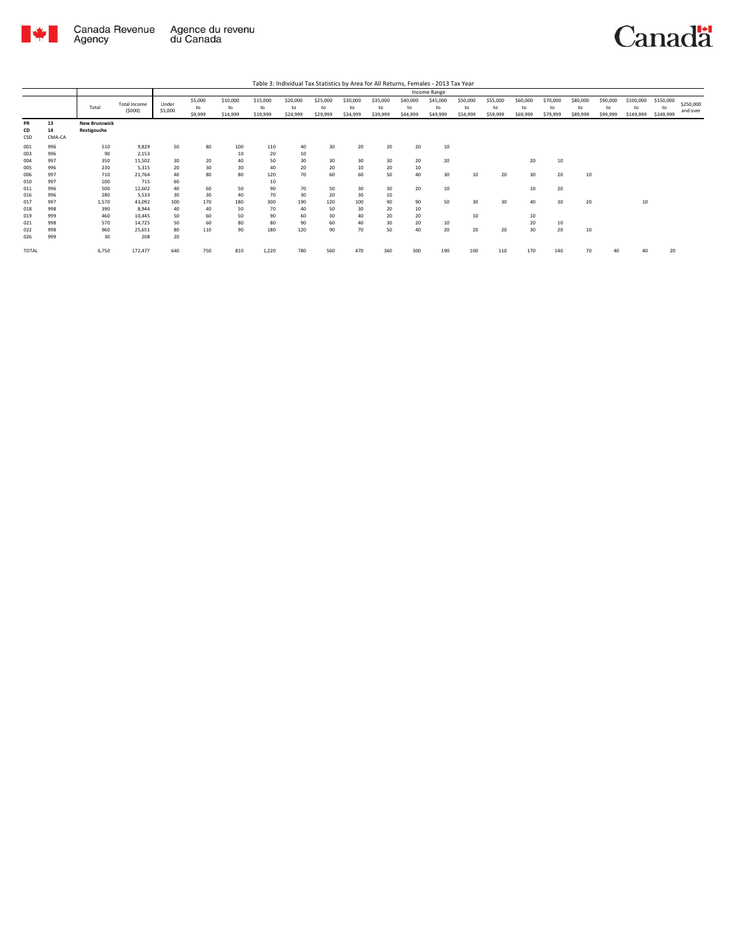

| Table 3: Individual Tax Statistics by Area for All Returns, Females - 2013 Tax Year |                    |                                     |                        |                  |                          |                            |                            |                            |                            |                            |                            |                            |                            |                            |                            |                            |                            |                            |                            |                              |                              |                       |
|-------------------------------------------------------------------------------------|--------------------|-------------------------------------|------------------------|------------------|--------------------------|----------------------------|----------------------------|----------------------------|----------------------------|----------------------------|----------------------------|----------------------------|----------------------------|----------------------------|----------------------------|----------------------------|----------------------------|----------------------------|----------------------------|------------------------------|------------------------------|-----------------------|
|                                                                                     |                    |                                     |                        | Income Range     |                          |                            |                            |                            |                            |                            |                            |                            |                            |                            |                            |                            |                            |                            |                            |                              |                              |                       |
|                                                                                     |                    | Total                               | Total Income<br>(5000) | Under<br>\$5,000 | \$5,000<br>to<br>\$9,999 | \$10,000<br>to<br>\$14,999 | \$15,000<br>to<br>\$19,999 | \$20,000<br>to<br>\$24,999 | \$25,000<br>to<br>\$29,999 | \$30,000<br>to<br>\$34,999 | \$35,000<br>to<br>\$39,999 | \$40,000<br>to<br>\$44,999 | \$45,000<br>to<br>\$49,999 | \$50,000<br>to<br>\$54,999 | \$55,000<br>to<br>\$59,999 | \$60,000<br>to<br>\$69,999 | \$70,000<br>to<br>\$79,999 | \$80,000<br>to<br>\$89,999 | \$90,000<br>to<br>\$99,999 | \$100,000<br>to<br>\$149,999 | \$150,000<br>to<br>\$249,999 | \$250,000<br>and over |
| PR<br>CD<br>CSD                                                                     | 13<br>14<br>CMA-CA | <b>New Brunswick</b><br>Restigouche |                        |                  |                          |                            |                            |                            |                            |                            |                            |                            |                            |                            |                            |                            |                            |                            |                            |                              |                              |                       |
| 001                                                                                 | 996                | 510                                 | 9,829                  | 50               | 80                       | 100                        | 110                        | 40                         | 30                         | 20                         | 20                         | 20                         | 10                         |                            |                            |                            |                            |                            |                            |                              |                              |                       |
| 003                                                                                 | 996                | 90                                  | 2,153                  |                  |                          | 10                         | 20                         | 10                         |                            |                            |                            |                            |                            |                            |                            |                            |                            |                            |                            |                              |                              |                       |
| 004                                                                                 | 997                | 350                                 | 11.502                 | 30               | 20                       | 40                         | 50                         | 30                         | 30                         | 30                         | 30                         | 20                         | 20                         |                            |                            | 20                         | 10                         |                            |                            |                              |                              |                       |
| 005                                                                                 | 996                | 230                                 | 5.315                  | 20               | 30                       | 30                         | 40                         | 20                         | 20                         | 10                         | 20                         | 10                         |                            |                            |                            |                            |                            |                            |                            |                              |                              |                       |
| 006                                                                                 | 997                | 710                                 | 21,764                 | 40               | 80                       | 80                         | 120                        | 70                         | 60                         | 60                         | 50                         | 40                         | 30                         | 10                         | 20                         | 30                         | 20                         | 10                         |                            |                              |                              |                       |
| 010                                                                                 | 997                | 100                                 | 715                    | 60               |                          |                            | 10                         |                            |                            |                            |                            |                            |                            |                            |                            |                            |                            |                            |                            |                              |                              |                       |
| 011                                                                                 | 996                | 500                                 | 12,602                 | 40               | 60                       | 50                         | 90                         | 70                         | 50                         | 30                         | 30                         | 20                         | 10                         |                            |                            | 10                         | 20                         |                            |                            |                              |                              |                       |
| 016                                                                                 | 996                | 280                                 | 5.533                  | 30               | 30                       | 40                         | 70                         | 30                         | 20                         | 30                         | 10                         |                            |                            |                            |                            |                            |                            |                            |                            |                              |                              |                       |
| 017                                                                                 | 997                | 1,570                               | 43,092                 | 100              | 170                      | 180                        | 300                        | 190                        | 120                        | 100                        | 90                         | 90                         | 50                         | 30                         | 30                         | 40                         | 30                         | 20                         |                            | 10                           |                              |                       |
| 018                                                                                 | 998                | 390                                 | 8.944                  | 40               | 40                       | 50                         | 70                         | 40                         | 50                         | 30                         | 20                         | 10                         |                            |                            |                            |                            |                            |                            |                            |                              |                              |                       |
| 019                                                                                 | 999                | 460                                 | 10.445                 | 50               | 60                       | 50                         | 90                         | 60                         | 30                         | 40                         | 20                         | 20                         |                            | 10                         |                            | 10                         |                            |                            |                            |                              |                              |                       |
| 021                                                                                 | 998                | 570                                 | 14.725                 | 50               | 60                       | 80                         | 80                         | 90                         | 60                         | 40                         | 30                         | 20                         | 10                         |                            |                            | 20                         | 10                         |                            |                            |                              |                              |                       |
| 022                                                                                 | 998                | 960                                 | 25,651                 | 80               | 110                      | 90                         | 180                        | 120                        | 90                         | 70                         | 50                         | 40                         | 20                         | 20                         | 20                         | 30                         | 20                         | 10                         |                            |                              |                              |                       |
| 026                                                                                 | 999                | 30                                  | 208                    | 20               |                          |                            |                            |                            |                            |                            |                            |                            |                            |                            |                            |                            |                            |                            |                            |                              |                              |                       |
| TOTAL                                                                               |                    | 6,750                               | 172,477                | 640              | 750                      | 810                        | 1,220                      | 780                        | 560                        | 470                        | 360                        | 300                        | 190                        | 100                        | 110                        | 170                        | 140                        | 70                         | 40                         | 40                           | 20                           |                       |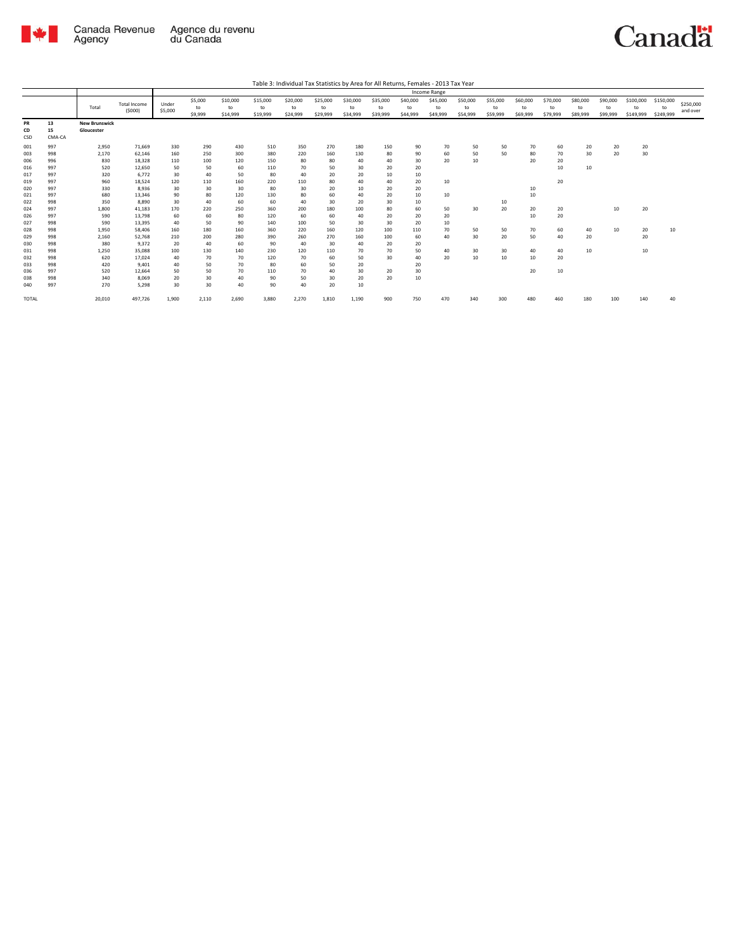

|                 |                    | Income Range                       |                               |                  |                          |                            |                            |                            |                            |                            |                            |                            |                            |                            |                            |                            |                            |                            |                            |                              |                              |                       |
|-----------------|--------------------|------------------------------------|-------------------------------|------------------|--------------------------|----------------------------|----------------------------|----------------------------|----------------------------|----------------------------|----------------------------|----------------------------|----------------------------|----------------------------|----------------------------|----------------------------|----------------------------|----------------------------|----------------------------|------------------------------|------------------------------|-----------------------|
|                 |                    | Total                              | <b>Total Income</b><br>(5000) | Under<br>\$5,000 | \$5,000<br>to<br>\$9,999 | \$10,000<br>to<br>\$14,999 | \$15,000<br>to<br>\$19,999 | \$20,000<br>to<br>\$24,999 | \$25,000<br>to<br>\$29,999 | \$30,000<br>to<br>\$34,999 | \$35,000<br>to<br>\$39,999 | \$40,000<br>to<br>\$44,999 | \$45,000<br>to<br>\$49,999 | \$50,000<br>to<br>\$54,999 | \$55,000<br>to<br>\$59,999 | \$60,000<br>to<br>\$69,999 | \$70,000<br>to<br>\$79,999 | \$80,000<br>to<br>\$89,999 | \$90,000<br>to<br>\$99,999 | \$100,000<br>to<br>\$149,999 | \$150,000<br>to<br>\$249,999 | \$250,000<br>and over |
| PR<br>CD<br>CSD | 13<br>15<br>CMA-CA | <b>New Brunswick</b><br>Gloucester |                               |                  |                          |                            |                            |                            |                            |                            |                            |                            |                            |                            |                            |                            |                            |                            |                            |                              |                              |                       |
| 001             | 997                | 2,950                              | 71,669                        | 330              | 290                      | 430                        | 510                        | 350                        | 270                        | 180                        | 150                        | 90                         | 70                         | 50                         | 50                         | 70                         | 60                         | 20                         | 20                         | 20                           |                              |                       |
| 003             | 998                | 2,170                              | 62.146                        | 160              | 250                      | 300                        | 380                        | 220                        | 160                        | 130                        | 80                         | 90                         | 60                         | 50                         | 50                         | 80                         | 70                         | 30                         | 20                         | 30                           |                              |                       |
| 006             | 996                | 830                                | 18.328                        | 110              | 100                      | 120                        | 150                        | 80                         | 80                         | 40                         | 40                         | 30                         | 20                         | 10                         |                            | 20                         | 20                         |                            |                            |                              |                              |                       |
| 016             | 997                | 520                                | 12.650                        | 50               | 50                       | 60                         | 110                        | 70                         | 50                         | 30                         | 20                         | 20                         |                            |                            |                            |                            | 10                         | 10                         |                            |                              |                              |                       |
| 017             | 997                | 320                                | 6.772                         | 30               | 40                       | 50                         | 80                         | 40                         | 20                         | 20                         | 10                         | 10                         |                            |                            |                            |                            |                            |                            |                            |                              |                              |                       |
| 019             | 997                | 960                                | 18,524                        | 120              | 110                      | 160                        | 220                        | 110                        | 80                         | 40                         | 40                         | 20                         | 10                         |                            |                            |                            | 20                         |                            |                            |                              |                              |                       |
| 020             | 997                | 330                                | 8.936                         | 30               | 30                       | 30                         | 80                         | 30                         | 20                         | 10                         | 20                         | 20                         |                            |                            |                            | 10                         |                            |                            |                            |                              |                              |                       |
| 021             | 997                | 680                                | 13,346                        | 90               | 80                       | 120                        | 130                        | 80                         | 60                         | 40                         | 20                         | 10                         | 10                         |                            |                            | 10                         |                            |                            |                            |                              |                              |                       |
| 022             | 998                | 350                                | 8,890                         | 30               | 40                       | 60                         | 60                         | 40                         | 30                         | 20                         | 30                         | 10                         |                            |                            | 10                         |                            |                            |                            |                            |                              |                              |                       |
| 024             | 997                | 1,800                              | 41.183                        | 170              | 220                      | 250                        | 360                        | 200                        | 180                        | 100                        | 80                         | 60                         | 50                         | 30                         | 20                         | 20                         | 20                         |                            | 10                         | 20                           |                              |                       |
| 026             | 997                | 590                                | 13,798                        | 60               | 60                       | 80                         | 120                        | 60                         | 60                         | 40                         | 20                         | 20                         | 20                         |                            |                            | 10                         | 20                         |                            |                            |                              |                              |                       |
| 027             | 998                | 590                                | 13,395                        | 40               | 50                       | 90                         | 140                        | 100                        | 50                         | 30                         | 30                         | 20                         | 10                         |                            |                            |                            |                            |                            |                            |                              |                              |                       |
| 028             | 998                | 1,950                              | 58,406                        | 160              | 180                      | 160                        | 360                        | 220                        | 160                        | 120                        | 100                        | 110                        | 70                         | 50                         | 50                         | 70                         | 60                         | 40                         | 10                         | 20                           | 10                           |                       |
| 029             | 998                | 2,160                              | 52,768                        | 210              | 200                      | 280                        | 390                        | 260                        | 270                        | 160                        | 100                        | 60                         | 40                         | 30                         | 20                         | 50                         | 40                         | 20                         |                            | 20                           |                              |                       |
| 030             | 998                | 380                                | 9.372                         | 20               | 40                       | 60                         | 90                         | 40                         | 30                         | 40                         | 20                         | 20                         |                            |                            |                            |                            |                            |                            |                            |                              |                              |                       |
| 031             | 998                | 1,250                              | 35,088                        | 100              | 130                      | 140                        | 230                        | 120                        | 110                        | 70                         | 70                         | 50                         | 40                         | 30                         | 30                         | 40                         | 40                         | 10                         |                            | 10                           |                              |                       |
| 032             | 998                | 620                                | 17,024                        | 40               | 70                       | 70                         | 120                        | 70                         | 60                         | 50                         | 30                         | 40                         | 20                         | 10                         | 10                         | 10                         | 20                         |                            |                            |                              |                              |                       |
| 033             | 998                | 420                                | 9,401                         | 40               | 50                       | 70                         | 80                         | 60                         | 50                         | 20                         |                            | 20                         |                            |                            |                            |                            |                            |                            |                            |                              |                              |                       |
| 036             | 997                | 520                                | 12,664                        | 50               | 50                       | 70                         | 110                        | 70                         | 40                         | 30                         | 20                         | 30                         |                            |                            |                            | 20                         | 10                         |                            |                            |                              |                              |                       |
| 038             | 998                | 340                                | 8.069                         | 20               | 30                       | 40                         | 90                         | 50                         | 30                         | 20                         | 20                         | 10                         |                            |                            |                            |                            |                            |                            |                            |                              |                              |                       |
| 040             | 997                | 270                                | 5,298                         | 30               | 30                       | 40                         | 90                         | 40                         | 20                         | 10                         |                            |                            |                            |                            |                            |                            |                            |                            |                            |                              |                              |                       |
| <b>TOTAL</b>    |                    | 20,010                             | 497,726                       | 1,900            | 2,110                    | 2,690                      | 3,880                      | 2,270                      | 1,810                      | 1,190                      | 900                        | 750                        | 470                        | 340                        | 300                        | 480                        |                            | 180                        | 100                        | 140                          | 40                           |                       |